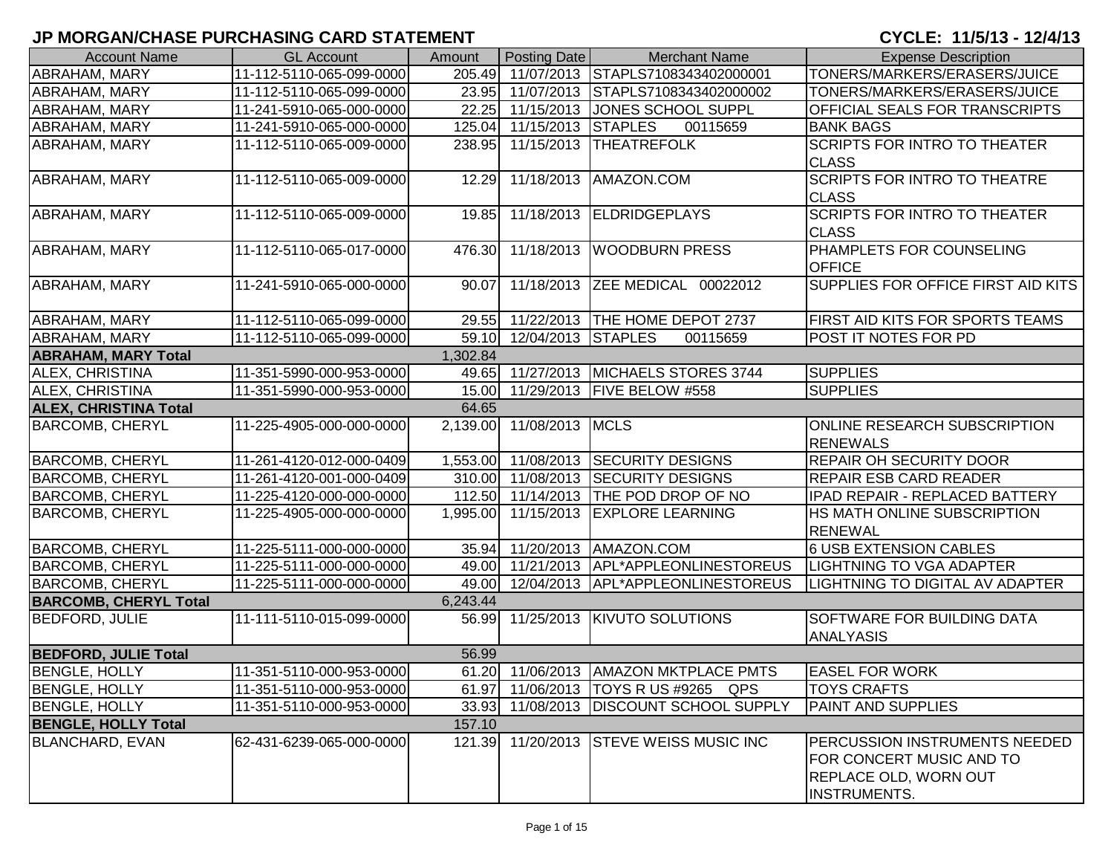| <b>Account Name</b>          | <b>GL Account</b>        | Amount   | Posting Date             | <b>Merchant Name</b>                    | <b>Expense Description</b>                                                                                              |
|------------------------------|--------------------------|----------|--------------------------|-----------------------------------------|-------------------------------------------------------------------------------------------------------------------------|
| <b>ABRAHAM, MARY</b>         | 11-112-5110-065-099-0000 | 205.49   |                          | 11/07/2013 STAPLS7108343402000001       | TONERS/MARKERS/ERASERS/JUICE                                                                                            |
| ABRAHAM, MARY                | 11-112-5110-065-099-0000 |          |                          | 23.95 11/07/2013 STAPLS7108343402000002 | TONERS/MARKERS/ERASERS/JUICE                                                                                            |
| <b>ABRAHAM, MARY</b>         | 11-241-5910-065-000-0000 | 22.25    |                          | 11/15/2013 JONES SCHOOL SUPPL           | OFFICIAL SEALS FOR TRANSCRIPTS                                                                                          |
| <b>ABRAHAM, MARY</b>         | 11-241-5910-065-000-0000 |          | 125.04 11/15/2013        | <b>STAPLES</b><br>00115659              | <b>BANK BAGS</b>                                                                                                        |
| <b>ABRAHAM, MARY</b>         | 11-112-5110-065-009-0000 | 238.95   | 11/15/2013               | <b>THEATREFOLK</b>                      | <b>SCRIPTS FOR INTRO TO THEATER</b>                                                                                     |
|                              |                          |          |                          |                                         | <b>CLASS</b>                                                                                                            |
| ABRAHAM, MARY                | 11-112-5110-065-009-0000 | 12.29    | 11/18/2013               | AMAZON.COM                              | <b>SCRIPTS FOR INTRO TO THEATRE</b><br><b>CLASS</b>                                                                     |
| <b>ABRAHAM, MARY</b>         | 11-112-5110-065-009-0000 | 19.85    |                          | 11/18/2013 ELDRIDGEPLAYS                | <b>SCRIPTS FOR INTRO TO THEATER</b><br><b>CLASS</b>                                                                     |
| ABRAHAM, MARY                | 11-112-5110-065-017-0000 | 476.30   | 11/18/2013               | <b>WOODBURN PRESS</b>                   | PHAMPLETS FOR COUNSELING<br><b>OFFICE</b>                                                                               |
| <b>ABRAHAM, MARY</b>         | 11-241-5910-065-000-0000 | 90.07    | 11/18/2013               | ZEE MEDICAL 00022012                    | SUPPLIES FOR OFFICE FIRST AID KITS                                                                                      |
| <b>ABRAHAM, MARY</b>         | 11-112-5110-065-099-0000 |          |                          | 29.55 11/22/2013 THE HOME DEPOT 2737    | FIRST AID KITS FOR SPORTS TEAMS                                                                                         |
| <b>ABRAHAM, MARY</b>         | 11-112-5110-065-099-0000 |          | 59.10 12/04/2013         | <b>STAPLES</b><br>00115659              | POST IT NOTES FOR PD                                                                                                    |
| <b>ABRAHAM, MARY Total</b>   |                          | 1,302.84 |                          |                                         |                                                                                                                         |
| <b>ALEX, CHRISTINA</b>       | 11-351-5990-000-953-0000 |          |                          | 49.65 11/27/2013 MICHAELS STORES 3744   | <b>SUPPLIES</b>                                                                                                         |
| ALEX, CHRISTINA              | 11-351-5990-000-953-0000 |          |                          | 15.00 11/29/2013 FIVE BELOW #558        | <b>SUPPLIES</b>                                                                                                         |
| <b>ALEX, CHRISTINA Total</b> |                          | 64.65    |                          |                                         |                                                                                                                         |
| <b>BARCOMB, CHERYL</b>       | 11-225-4905-000-000-0000 |          | 2,139.00 11/08/2013 MCLS |                                         | <b>ONLINE RESEARCH SUBSCRIPTION</b><br><b>RENEWALS</b>                                                                  |
| <b>BARCOMB, CHERYL</b>       | 11-261-4120-012-000-0409 | 1,553.00 |                          | 11/08/2013 SECURITY DESIGNS             | <b>REPAIR OH SECURITY DOOR</b>                                                                                          |
| <b>BARCOMB, CHERYL</b>       | 11-261-4120-001-000-0409 | 310.00   |                          | 11/08/2013 SECURITY DESIGNS             | REPAIR ESB CARD READER                                                                                                  |
| <b>BARCOMB, CHERYL</b>       | 11-225-4120-000-000-0000 |          | 112.50 11/14/2013        | <b>THE POD DROP OF NO</b>               | IPAD REPAIR - REPLACED BATTERY                                                                                          |
| <b>BARCOMB, CHERYL</b>       | 11-225-4905-000-000-0000 | 1,995.00 | 11/15/2013               | <b>EXPLORE LEARNING</b>                 | HS MATH ONLINE SUBSCRIPTION<br><b>RENEWAL</b>                                                                           |
| <b>BARCOMB, CHERYL</b>       | 11-225-5111-000-000-0000 |          |                          | 35.94 11/20/2013 AMAZON.COM             | 6 USB EXTENSION CABLES                                                                                                  |
| <b>BARCOMB, CHERYL</b>       | 11-225-5111-000-000-0000 |          |                          | 49.00 11/21/2013 APL*APPLEONLINESTOREUS | <b>LIGHTNING TO VGA ADAPTER</b>                                                                                         |
| <b>BARCOMB, CHERYL</b>       | 11-225-5111-000-000-0000 |          |                          | 49.00 12/04/2013 APL*APPLEONLINESTOREUS | <b>LIGHTNING TO DIGITAL AV ADAPTER</b>                                                                                  |
| <b>BARCOMB, CHERYL Total</b> |                          | 6,243.44 |                          |                                         |                                                                                                                         |
| <b>BEDFORD, JULIE</b>        | 11-111-5110-015-099-0000 |          |                          | 56.99 11/25/2013 KIVUTO SOLUTIONS       | <b>SOFTWARE FOR BUILDING DATA</b><br><b>ANALYASIS</b>                                                                   |
| <b>BEDFORD, JULIE Total</b>  |                          | 56.99    |                          |                                         |                                                                                                                         |
| <b>BENGLE, HOLLY</b>         | 11-351-5110-000-953-0000 |          |                          | 61.20 11/06/2013   AMAZON MKTPLACE PMTS | <b>EASEL FOR WORK</b>                                                                                                   |
| <b>BENGLE, HOLLY</b>         | 11-351-5110-000-953-0000 | 61.97    |                          | 11/06/2013   TOYS R US #9265 QPS        | <b>TOYS CRAFTS</b>                                                                                                      |
| <b>BENGLE, HOLLY</b>         | 11-351-5110-000-953-0000 | 33.93    |                          | 11/08/2013   DISCOUNT SCHOOL SUPPLY     | PAINT AND SUPPLIES                                                                                                      |
| <b>BENGLE, HOLLY Total</b>   |                          | 157.10   |                          |                                         |                                                                                                                         |
| <b>BLANCHARD, EVAN</b>       | 62-431-6239-065-000-0000 |          |                          | 121.39 11/20/2013 STEVE WEISS MUSIC INC | <b>PERCUSSION INSTRUMENTS NEEDED</b><br>FOR CONCERT MUSIC AND TO<br><b>REPLACE OLD, WORN OUT</b><br><b>INSTRUMENTS.</b> |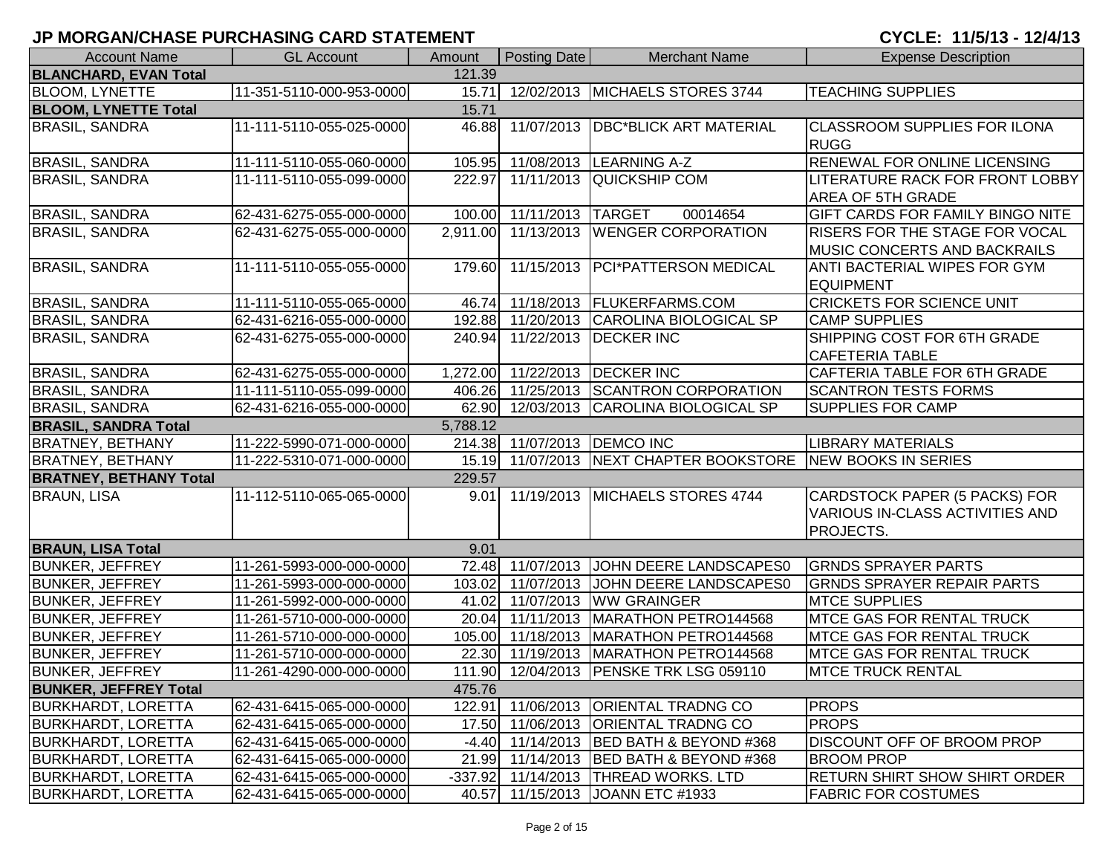| <b>Account Name</b>           | <b>GL Account</b>        | Amount   | Posting Date                | <b>Merchant Name</b>                                        | <b>Expense Description</b>              |
|-------------------------------|--------------------------|----------|-----------------------------|-------------------------------------------------------------|-----------------------------------------|
| <b>BLANCHARD, EVAN Total</b>  |                          | 121.39   |                             |                                                             |                                         |
| <b>BLOOM, LYNETTE</b>         | 11-351-5110-000-953-0000 | 15.71    |                             | 12/02/2013 MICHAELS STORES 3744                             | <b>TEACHING SUPPLIES</b>                |
| <b>BLOOM, LYNETTE Total</b>   |                          | 15.71    |                             |                                                             |                                         |
| <b>BRASIL, SANDRA</b>         | 11-111-5110-055-025-0000 | 46.88    |                             | 11/07/2013   DBC*BLICK ART MATERIAL                         | <b>CLASSROOM SUPPLIES FOR ILONA</b>     |
|                               |                          |          |                             |                                                             | <b>RUGG</b>                             |
| <b>BRASIL, SANDRA</b>         | 11-111-5110-055-060-0000 | 105.95   |                             | 11/08/2013 LEARNING A-Z                                     | RENEWAL FOR ONLINE LICENSING            |
| <b>BRASIL, SANDRA</b>         | 11-111-5110-055-099-0000 | 222.97   | 11/11/2013                  | <b>QUICKSHIP COM</b>                                        | LITERATURE RACK FOR FRONT LOBBY         |
|                               |                          |          |                             |                                                             | AREA OF 5TH GRADE                       |
| <b>BRASIL, SANDRA</b>         | 62-431-6275-055-000-0000 |          | 100.00 11/11/2013 TARGET    | 00014654                                                    | <b>GIFT CARDS FOR FAMILY BINGO NITE</b> |
| <b>BRASIL, SANDRA</b>         | 62-431-6275-055-000-0000 |          |                             | 2,911.00 11/13/2013 WENGER CORPORATION                      | RISERS FOR THE STAGE FOR VOCAL          |
|                               |                          |          |                             |                                                             | <b>MUSIC CONCERTS AND BACKRAILS</b>     |
| <b>BRASIL, SANDRA</b>         | 11-111-5110-055-055-0000 | 179.60   |                             | 11/15/2013 PCI*PATTERSON MEDICAL                            | <b>ANTI BACTERIAL WIPES FOR GYM</b>     |
|                               |                          |          |                             |                                                             | <b>EQUIPMENT</b>                        |
| <b>BRASIL, SANDRA</b>         | 11-111-5110-055-065-0000 |          |                             | 46.74 11/18/2013 FLUKERFARMS.COM                            | <b>CRICKETS FOR SCIENCE UNIT</b>        |
| <b>BRASIL, SANDRA</b>         | 62-431-6216-055-000-0000 |          |                             | 192.88 11/20/2013 CAROLINA BIOLOGICAL SP                    | <b>CAMP SUPPLIES</b>                    |
| <b>BRASIL, SANDRA</b>         | 62-431-6275-055-000-0000 | 240.94   |                             | 11/22/2013   DECKER INC                                     | SHIPPING COST FOR 6TH GRADE             |
|                               |                          |          |                             |                                                             | <b>CAFETERIA TABLE</b>                  |
| <b>BRASIL, SANDRA</b>         | 62-431-6275-055-000-0000 |          |                             | 1,272.00 11/22/2013 DECKER INC                              | CAFTERIA TABLE FOR 6TH GRADE            |
| <b>BRASIL, SANDRA</b>         | 11-111-5110-055-099-0000 |          |                             | 406.26 11/25/2013 SCANTRON CORPORATION                      | <b>SCANTRON TESTS FORMS</b>             |
| <b>BRASIL, SANDRA</b>         | 62-431-6216-055-000-0000 |          |                             | 62.90 12/03/2013 CAROLINA BIOLOGICAL SP                     | <b>SUPPLIES FOR CAMP</b>                |
| <b>BRASIL, SANDRA Total</b>   |                          | 5,788.12 |                             |                                                             |                                         |
| <b>BRATNEY, BETHANY</b>       | 11-222-5990-071-000-0000 |          | 214.38 11/07/2013 DEMCO INC |                                                             | <b>LIBRARY MATERIALS</b>                |
| <b>BRATNEY, BETHANY</b>       | 11-222-5310-071-000-0000 |          |                             | 15.19 11/07/2013 NEXT CHAPTER BOOKSTORE NEW BOOKS IN SERIES |                                         |
| <b>BRATNEY, BETHANY Total</b> |                          | 229.57   |                             |                                                             |                                         |
| <b>BRAUN, LISA</b>            | 11-112-5110-065-065-0000 | 9.01     |                             | 11/19/2013 MICHAELS STORES 4744                             | CARDSTOCK PAPER (5 PACKS) FOR           |
|                               |                          |          |                             |                                                             | <b>VARIOUS IN-CLASS ACTIVITIES AND</b>  |
|                               |                          |          |                             |                                                             | PROJECTS.                               |
| <b>BRAUN, LISA Total</b>      |                          | 9.01     |                             |                                                             |                                         |
| <b>BUNKER, JEFFREY</b>        | 11-261-5993-000-000-0000 |          | 72.48 11/07/2013            | JOHN DEERE LANDSCAPES0                                      | <b>GRNDS SPRAYER PARTS</b>              |
| <b>BUNKER, JEFFREY</b>        | 11-261-5993-000-000-0000 | 103.02   | 11/07/2013                  | JOHN DEERE LANDSCAPES0                                      | <b>GRNDS SPRAYER REPAIR PARTS</b>       |
| <b>BUNKER, JEFFREY</b>        | 11-261-5992-000-000-0000 | 41.02    | 11/07/2013                  | <b>WW GRAINGER</b>                                          | <b>MTCE SUPPLIES</b>                    |
| <b>BUNKER, JEFFREY</b>        | 11-261-5710-000-000-0000 | 20.04    | 11/11/2013                  | MARATHON PETRO144568                                        | <b>MTCE GAS FOR RENTAL TRUCK</b>        |
| <b>BUNKER, JEFFREY</b>        | 11-261-5710-000-000-0000 |          | 105.00 11/18/2013           | MARATHON PETRO144568                                        | <b>MTCE GAS FOR RENTAL TRUCK</b>        |
| <b>BUNKER, JEFFREY</b>        | 11-261-5710-000-000-0000 |          | 22.30 11/19/2013            | MARATHON PETRO144568                                        | <b>IMTCE GAS FOR RENTAL TRUCK</b>       |
| <b>BUNKER, JEFFREY</b>        | 11-261-4290-000-000-0000 |          |                             | 111.90 12/04/2013 PENSKE TRK LSG 059110                     | <b>MTCE TRUCK RENTAL</b>                |
| <b>BUNKER, JEFFREY Total</b>  |                          | 475.76   |                             |                                                             |                                         |
| <b>BURKHARDT, LORETTA</b>     | 62-431-6415-065-000-0000 |          |                             | 122.91 11/06/2013 ORIENTAL TRADNG CO                        | <b>PROPS</b>                            |
| <b>BURKHARDT, LORETTA</b>     | 62-431-6415-065-000-0000 |          |                             | 17.50 11/06/2013 ORIENTAL TRADNG CO                         | <b>PROPS</b>                            |
| <b>BURKHARDT, LORETTA</b>     | 62-431-6415-065-000-0000 |          |                             | -4.40 11/14/2013 BED BATH & BEYOND #368                     | <b>DISCOUNT OFF OF BROOM PROP</b>       |
| <b>BURKHARDT, LORETTA</b>     | 62-431-6415-065-000-0000 |          |                             | 21.99 11/14/2013 BED BATH & BEYOND #368                     | <b>BROOM PROP</b>                       |
| <b>BURKHARDT, LORETTA</b>     | 62-431-6415-065-000-0000 |          |                             | -337.92 11/14/2013 THREAD WORKS. LTD                        | <b>RETURN SHIRT SHOW SHIRT ORDER</b>    |
| <b>BURKHARDT, LORETTA</b>     | 62-431-6415-065-000-0000 |          |                             | 40.57 11/15/2013 JOANN ETC #1933                            | <b>FABRIC FOR COSTUMES</b>              |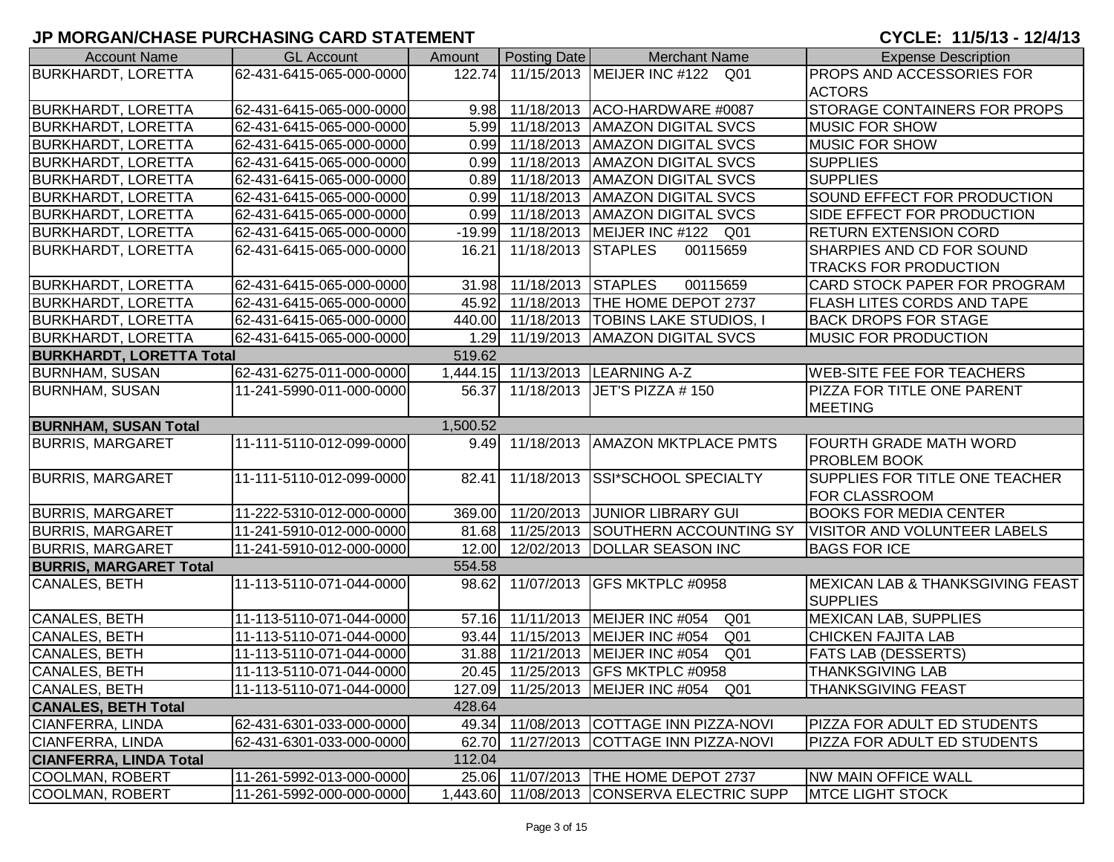# **JP MORGAN/CHASE PURCHASING CARD STATEMENT**

CYCLE: 11/5/13 - 12/4/13

| <b>Account Name</b>             | <b>GL Account</b>        | Amount   | <b>Posting Date</b>      | <b>Merchant Name</b>                                | <b>Expense Description</b>        |
|---------------------------------|--------------------------|----------|--------------------------|-----------------------------------------------------|-----------------------------------|
| <b>BURKHARDT, LORETTA</b>       | 62-431-6415-065-000-0000 | 122.74   |                          | 11/15/2013 MEIJER INC #122 Q01                      | <b>PROPS AND ACCESSORIES FOR</b>  |
|                                 |                          |          |                          |                                                     | <b>ACTORS</b>                     |
| <b>BURKHARDT, LORETTA</b>       | 62-431-6415-065-000-0000 |          |                          | 9.98 11/18/2013 ACO-HARDWARE #0087                  | STORAGE CONTAINERS FOR PROPS      |
| <b>BURKHARDT, LORETTA</b>       | 62-431-6415-065-000-0000 |          | 5.99 11/18/2013          | <b>AMAZON DIGITAL SVCS</b>                          | <b>MUSIC FOR SHOW</b>             |
| <b>BURKHARDT, LORETTA</b>       | 62-431-6415-065-000-0000 |          |                          | 0.99 11/18/2013   AMAZON DIGITAL SVCS               | <b>MUSIC FOR SHOW</b>             |
| <b>BURKHARDT, LORETTA</b>       | 62-431-6415-065-000-0000 |          |                          | 0.99 11/18/2013 AMAZON DIGITAL SVCS                 | <b>SUPPLIES</b>                   |
| <b>BURKHARDT, LORETTA</b>       | 62-431-6415-065-000-0000 |          |                          | 0.89 11/18/2013   AMAZON DIGITAL SVCS               | <b>SUPPLIES</b>                   |
| <b>BURKHARDT, LORETTA</b>       | 62-431-6415-065-000-0000 |          |                          | 0.99 11/18/2013   AMAZON DIGITAL SVCS               | SOUND EFFECT FOR PRODUCTION       |
| <b>BURKHARDT, LORETTA</b>       | 62-431-6415-065-000-0000 |          | 0.99 11/18/2013          | <b>AMAZON DIGITAL SVCS</b>                          | SIDE EFFECT FOR PRODUCTION        |
| <b>BURKHARDT, LORETTA</b>       | 62-431-6415-065-000-0000 |          | $-19.99$ 11/18/2013      | MEIJER INC #122 Q01                                 | <b>RETURN EXTENSION CORD</b>      |
| <b>BURKHARDT, LORETTA</b>       | 62-431-6415-065-000-0000 | 16.21    | 11/18/2013               | <b>STAPLES</b><br>00115659                          | SHARPIES AND CD FOR SOUND         |
|                                 |                          |          |                          |                                                     | <b>TRACKS FOR PRODUCTION</b>      |
| <b>BURKHARDT, LORETTA</b>       | 62-431-6415-065-000-0000 |          | 31.98 11/18/2013 STAPLES | 00115659                                            | CARD STOCK PAPER FOR PROGRAM      |
| <b>BURKHARDT, LORETTA</b>       | 62-431-6415-065-000-0000 | 45.92    |                          | 11/18/2013 THE HOME DEPOT 2737                      | FLASH LITES CORDS AND TAPE        |
| <b>BURKHARDT, LORETTA</b>       | 62-431-6415-065-000-0000 |          |                          | 440.00 11/18/2013 TOBINS LAKE STUDIOS,              | <b>BACK DROPS FOR STAGE</b>       |
| <b>BURKHARDT, LORETTA</b>       | 62-431-6415-065-000-0000 |          |                          | 1.29 11/19/2013   AMAZON DIGITAL SVCS               | <b>MUSIC FOR PRODUCTION</b>       |
| <b>BURKHARDT, LORETTA Total</b> |                          | 519.62   |                          |                                                     |                                   |
| <b>BURNHAM, SUSAN</b>           | 62-431-6275-011-000-0000 |          |                          | 1,444.15 11/13/2013 LEARNING A-Z                    | <b>WEB-SITE FEE FOR TEACHERS</b>  |
| <b>BURNHAM, SUSAN</b>           | 11-241-5990-011-000-0000 | 56.37    |                          | 11/18/2013 JET'S PIZZA # 150                        | <b>PIZZA FOR TITLE ONE PARENT</b> |
|                                 |                          |          |                          |                                                     | <b>MEETING</b>                    |
| <b>BURNHAM, SUSAN Total</b>     |                          | 1,500.52 |                          |                                                     |                                   |
| <b>BURRIS, MARGARET</b>         | 11-111-5110-012-099-0000 |          | 9.49 11/18/2013          | <b>AMAZON MKTPLACE PMTS</b>                         | FOURTH GRADE MATH WORD            |
|                                 |                          |          |                          |                                                     | <b>PROBLEM BOOK</b>               |
| <b>BURRIS, MARGARET</b>         | 11-111-5110-012-099-0000 | 82.41    |                          | 11/18/2013 SSI*SCHOOL SPECIALTY                     | SUPPLIES FOR TITLE ONE TEACHER    |
|                                 |                          |          |                          |                                                     | FOR CLASSROOM                     |
| <b>BURRIS, MARGARET</b>         | 11-222-5310-012-000-0000 |          |                          | 369.00 11/20/2013 JUNIOR LIBRARY GUI                | <b>BOOKS FOR MEDIA CENTER</b>     |
| <b>BURRIS, MARGARET</b>         | 11-241-5910-012-000-0000 |          |                          | 81.68 11/25/2013 SOUTHERN ACCOUNTING SY             | VISITOR AND VOLUNTEER LABELS      |
| <b>BURRIS, MARGARET</b>         | 11-241-5910-012-000-0000 |          |                          | 12.00 12/02/2013 DOLLAR SEASON INC                  | <b>BAGS FOR ICE</b>               |
| <b>BURRIS, MARGARET Total</b>   |                          | 554.58   |                          |                                                     |                                   |
| CANALES, BETH                   | 11-113-5110-071-044-0000 |          |                          | 98.62 11/07/2013 GFS MKTPLC #0958                   | MEXICAN LAB & THANKSGIVING FEAST  |
|                                 |                          |          |                          |                                                     | <b>SUPPLIES</b>                   |
| CANALES, BETH                   | 11-113-5110-071-044-0000 |          |                          | 57.16 11/11/2013 MEIJER INC #054<br>Q <sub>01</sub> | <b>MEXICAN LAB, SUPPLIES</b>      |
| CANALES, BETH                   | 11-113-5110-071-044-0000 |          |                          | 93.44 11/15/2013 MEIJER INC #054<br>Q <sub>01</sub> | <b>CHICKEN FAJITA LAB</b>         |
| CANALES, BETH                   | 11-113-5110-071-044-0000 |          |                          | 31.88 11/21/2013 MEIJER INC #054<br>Q01             | <b>FATS LAB (DESSERTS)</b>        |
| CANALES, BETH                   | 11-113-5110-071-044-0000 |          |                          | 20.45 11/25/2013 GFS MKTPLC #0958                   | <b>THANKSGIVING LAB</b>           |
| <b>CANALES, BETH</b>            | 11-113-5110-071-044-0000 |          |                          | 127.09 11/25/2013 MEIJER INC #054<br>Q01            | THANKSGIVING FEAST                |
| <b>CANALES, BETH Total</b>      |                          | 428.64   |                          |                                                     |                                   |
| <b>CIANFERRA, LINDA</b>         | 62-431-6301-033-000-0000 |          |                          | 49.34 11/08/2013 COTTAGE INN PIZZA-NOVI             | PIZZA FOR ADULT ED STUDENTS       |
| CIANFERRA, LINDA                | 62-431-6301-033-000-0000 | 62.70    |                          | 11/27/2013 COTTAGE INN PIZZA-NOVI                   | PIZZA FOR ADULT ED STUDENTS       |
| <b>CIANFERRA, LINDA Total</b>   |                          | 112.04   |                          |                                                     |                                   |
| <b>COOLMAN, ROBERT</b>          | 11-261-5992-013-000-0000 |          |                          | 25.06 11/07/2013 THE HOME DEPOT 2737                | <b>NW MAIN OFFICE WALL</b>        |
| COOLMAN, ROBERT                 | 11-261-5992-000-000-0000 | 1,443.60 |                          | 11/08/2013 CONSERVA ELECTRIC SUPP                   | <b>MTCE LIGHT STOCK</b>           |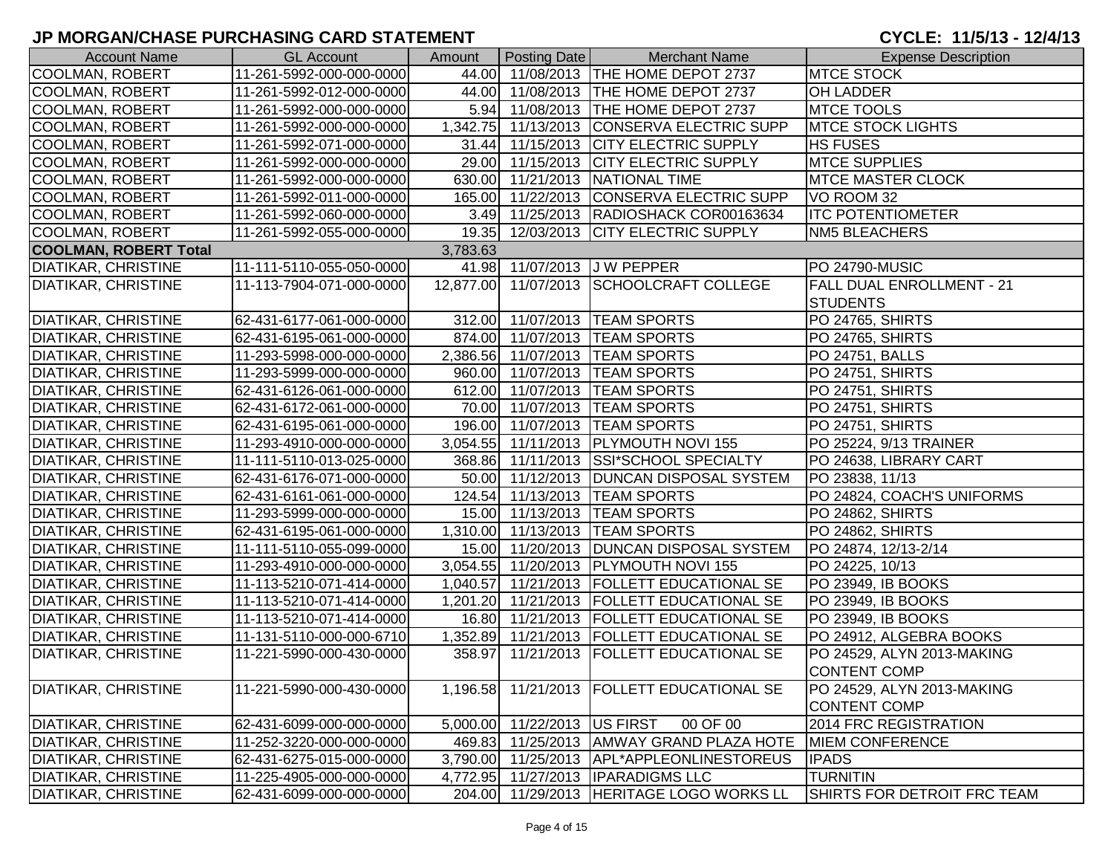| <b>Account Name</b>          | <b>GL Account</b>        | Amount   | Posting Date                 | <b>Merchant Name</b>                         | <b>Expense Description</b>  |
|------------------------------|--------------------------|----------|------------------------------|----------------------------------------------|-----------------------------|
| COOLMAN, ROBERT              | 11-261-5992-000-000-0000 |          |                              | 44.00 11/08/2013 THE HOME DEPOT 2737         | <b>MTCE STOCK</b>           |
| COOLMAN, ROBERT              | 11-261-5992-012-000-0000 |          |                              | 44.00 11/08/2013 THE HOME DEPOT 2737         | <b>OH LADDER</b>            |
| COOLMAN, ROBERT              | 11-261-5992-000-000-0000 |          |                              | 5.94 11/08/2013 THE HOME DEPOT 2737          | <b>MTCE TOOLS</b>           |
| COOLMAN, ROBERT              | 11-261-5992-000-000-0000 |          |                              | 1,342.75 11/13/2013 CONSERVA ELECTRIC SUPP   | <b>MTCE STOCK LIGHTS</b>    |
| <b>COOLMAN, ROBERT</b>       | 11-261-5992-071-000-0000 |          |                              | 31.44 11/15/2013 CITY ELECTRIC SUPPLY        | <b>HS FUSES</b>             |
| COOLMAN, ROBERT              | 11-261-5992-000-000-0000 |          |                              | 29.00 11/15/2013 CITY ELECTRIC SUPPLY        | <b>MTCE SUPPLIES</b>        |
| COOLMAN, ROBERT              | 11-261-5992-000-000-0000 |          |                              | 630.00 11/21/2013 NATIONAL TIME              | <b>MTCE MASTER CLOCK</b>    |
| COOLMAN, ROBERT              | 11-261-5992-011-000-0000 |          |                              | 165.00 11/22/2013 CONSERVA ELECTRIC SUPP     | VO ROOM 32                  |
| COOLMAN, ROBERT              | 11-261-5992-060-000-0000 |          |                              | 3.49 11/25/2013 RADIOSHACK COR00163634       | <b>ITC POTENTIOMETER</b>    |
| COOLMAN, ROBERT              | 11-261-5992-055-000-0000 |          |                              | 19.35 12/03/2013 CITY ELECTRIC SUPPLY        | <b>NM5 BLEACHERS</b>        |
| <b>COOLMAN, ROBERT Total</b> |                          | 3,783.63 |                              |                                              |                             |
| DIATIKAR, CHRISTINE          | 11-111-5110-055-050-0000 |          |                              | 41.98 11/07/2013 J W PEPPER                  | <b>PO 24790-MUSIC</b>       |
| <b>DIATIKAR, CHRISTINE</b>   | 11-113-7904-071-000-0000 |          |                              | 12,877.00 11/07/2013 SCHOOLCRAFT COLLEGE     | FALL DUAL ENROLLMENT - 21   |
|                              |                          |          |                              |                                              | <b>STUDENTS</b>             |
| <b>DIATIKAR, CHRISTINE</b>   | 62-431-6177-061-000-0000 |          |                              | 312.00 11/07/2013  TEAM SPORTS               | PO 24765, SHIRTS            |
| <b>DIATIKAR, CHRISTINE</b>   | 62-431-6195-061-000-0000 |          |                              | 874.00 11/07/2013  TEAM SPORTS               | PO 24765, SHIRTS            |
| <b>DIATIKAR, CHRISTINE</b>   | 11-293-5998-000-000-0000 |          |                              | 2,386.56 11/07/2013  TEAM SPORTS             | PO 24751, BALLS             |
| <b>DIATIKAR, CHRISTINE</b>   | 11-293-5999-000-000-0000 |          |                              | 960.00 11/07/2013  TEAM SPORTS               | PO 24751, SHIRTS            |
| <b>DIATIKAR, CHRISTINE</b>   | 62-431-6126-061-000-0000 |          |                              | 612.00 11/07/2013 TEAM SPORTS                | <b>PO 24751, SHIRTS</b>     |
| <b>DIATIKAR, CHRISTINE</b>   | 62-431-6172-061-000-0000 |          |                              | 70.00 11/07/2013 TEAM SPORTS                 | PO 24751, SHIRTS            |
| <b>DIATIKAR, CHRISTINE</b>   | 62-431-6195-061-000-0000 |          |                              | 196.00 11/07/2013 TEAM SPORTS                | PO 24751, SHIRTS            |
| <b>DIATIKAR, CHRISTINE</b>   | 11-293-4910-000-000-0000 |          |                              | 3,054.55 11/11/2013 PLYMOUTH NOVI 155        | PO 25224, 9/13 TRAINER      |
| <b>DIATIKAR, CHRISTINE</b>   | 11-111-5110-013-025-0000 |          |                              | 368.86 11/11/2013 SSI*SCHOOL SPECIALTY       | PO 24638, LIBRARY CART      |
| <b>DIATIKAR, CHRISTINE</b>   | 62-431-6176-071-000-0000 |          |                              | 50.00 11/12/2013 DUNCAN DISPOSAL SYSTEM      | PO 23838, 11/13             |
| <b>DIATIKAR, CHRISTINE</b>   | 62-431-6161-061-000-0000 |          |                              | 124.54 11/13/2013  TEAM SPORTS               | PO 24824, COACH'S UNIFORMS  |
| DIATIKAR, CHRISTINE          | 11-293-5999-000-000-0000 |          |                              | 15.00 11/13/2013  TEAM SPORTS                | PO 24862, SHIRTS            |
| DIATIKAR, CHRISTINE          | 62-431-6195-061-000-0000 |          |                              | 1,310.00 11/13/2013   TEAM SPORTS            | PO 24862, SHIRTS            |
| <b>DIATIKAR, CHRISTINE</b>   | 11-111-5110-055-099-0000 |          |                              | 15.00 11/20/2013   DUNCAN DISPOSAL SYSTEM    | PO 24874, 12/13-2/14        |
| <b>DIATIKAR, CHRISTINE</b>   | 11-293-4910-000-000-0000 |          |                              | 3,054.55 11/20/2013 PLYMOUTH NOVI 155        | PO 24225, 10/13             |
| <b>DIATIKAR, CHRISTINE</b>   | 11-113-5210-071-414-0000 |          |                              | 1,040.57 11/21/2013   FOLLETT EDUCATIONAL SE | PO 23949, IB BOOKS          |
| <b>DIATIKAR, CHRISTINE</b>   | 11-113-5210-071-414-0000 |          |                              | 1,201.20 11/21/2013   FOLLETT EDUCATIONAL SE | PO 23949, IB BOOKS          |
| DIATIKAR, CHRISTINE          | 11-113-5210-071-414-0000 |          |                              | 16.80 11/21/2013   FOLLETT EDUCATIONAL SE    | PO 23949, IB BOOKS          |
| <b>DIATIKAR, CHRISTINE</b>   | 11-131-5110-000-000-6710 |          |                              | 1,352.89 11/21/2013   FOLLETT EDUCATIONAL SE | PO 24912, ALGEBRA BOOKS     |
| <b>DIATIKAR, CHRISTINE</b>   | 11-221-5990-000-430-0000 |          |                              | 358.97 11/21/2013 FOLLETT EDUCATIONAL SE     | PO 24529, ALYN 2013-MAKING  |
|                              |                          |          |                              |                                              | <b>CONTENT COMP</b>         |
| <b>DIATIKAR, CHRISTINE</b>   | 11-221-5990-000-430-0000 |          |                              | 1,196.58 11/21/2013 FOLLETT EDUCATIONAL SE   | PO 24529, ALYN 2013-MAKING  |
|                              |                          |          |                              |                                              | <b>CONTENT COMP</b>         |
| <b>DIATIKAR, CHRISTINE</b>   | 62-431-6099-000-000-0000 |          | 5,000.00 11/22/2013 US FIRST | 00 OF 00                                     | 2014 FRC REGISTRATION       |
| <b>DIATIKAR, CHRISTINE</b>   | 11-252-3220-000-000-0000 | 469.83   |                              | 11/25/2013 AMWAY GRAND PLAZA HOTE            | <b>MIEM CONFERENCE</b>      |
| DIATIKAR, CHRISTINE          | 62-431-6275-015-000-0000 | 3,790.00 |                              | 11/25/2013   APL*APPLEONLINESTOREUS          | <b>IPADS</b>                |
| <b>DIATIKAR, CHRISTINE</b>   | 11-225-4905-000-000-0000 |          |                              | 4,772.95 11/27/2013   IPARADIGMS LLC         | <b>TURNITIN</b>             |
| <b>DIATIKAR, CHRISTINE</b>   | 62-431-6099-000-000-0000 |          |                              | 204.00 11/29/2013 HERITAGE LOGO WORKS LL     | SHIRTS FOR DETROIT FRC TEAM |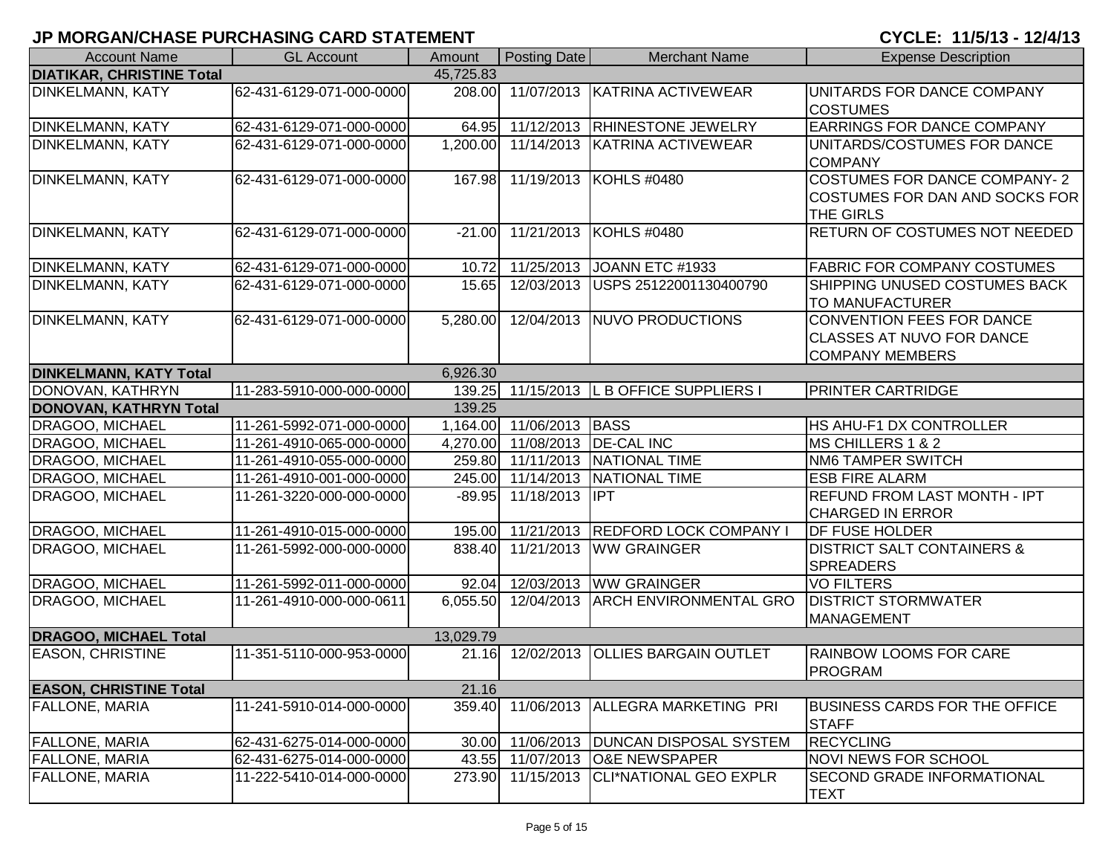| <b>Account Name</b>              | <b>GL Account</b>        | Amount    | Posting Date             | <b>Merchant Name</b>                       | <b>Expense Description</b>                                                       |
|----------------------------------|--------------------------|-----------|--------------------------|--------------------------------------------|----------------------------------------------------------------------------------|
| <b>DIATIKAR, CHRISTINE Total</b> |                          | 45,725.83 |                          |                                            |                                                                                  |
| <b>DINKELMANN, KATY</b>          | 62-431-6129-071-000-0000 | 208.00    |                          | 11/07/2013 KATRINA ACTIVEWEAR              | UNITARDS FOR DANCE COMPANY<br><b>COSTUMES</b>                                    |
| <b>DINKELMANN, KATY</b>          | 62-431-6129-071-000-0000 |           |                          | 64.95 11/12/2013 RHINESTONE JEWELRY        | <b>EARRINGS FOR DANCE COMPANY</b>                                                |
| <b>DINKELMANN, KATY</b>          | 62-431-6129-071-000-0000 | 1,200.00  |                          | 11/14/2013 KATRINA ACTIVEWEAR              | UNITARDS/COSTUMES FOR DANCE<br><b>COMPANY</b>                                    |
| <b>DINKELMANN, KATY</b>          | 62-431-6129-071-000-0000 |           |                          | 167.98 11/19/2013 KOHLS #0480              | COSTUMES FOR DANCE COMPANY-2<br>COSTUMES FOR DAN AND SOCKS FOR<br>THE GIRLS      |
| <b>DINKELMANN, KATY</b>          | 62-431-6129-071-000-0000 | $-21.00$  |                          | 11/21/2013 KOHLS #0480                     | RETURN OF COSTUMES NOT NEEDED                                                    |
| <b>DINKELMANN, KATY</b>          | 62-431-6129-071-000-0000 | 10.72     | 11/25/2013               | JOANN ETC #1933                            | <b>FABRIC FOR COMPANY COSTUMES</b>                                               |
| <b>DINKELMANN, KATY</b>          | 62-431-6129-071-000-0000 | 15.65     |                          | 12/03/2013 USPS 25122001130400790          | SHIPPING UNUSED COSTUMES BACK<br><b>TO MANUFACTURER</b>                          |
| <b>DINKELMANN, KATY</b>          | 62-431-6129-071-000-0000 | 5,280.00  |                          | 12/04/2013 NUVO PRODUCTIONS                | CONVENTION FEES FOR DANCE<br>CLASSES AT NUVO FOR DANCE<br><b>COMPANY MEMBERS</b> |
| <b>DINKELMANN, KATY Total</b>    |                          | 6,926.30  |                          |                                            |                                                                                  |
| DONOVAN, KATHRYN                 | 11-283-5910-000-000-0000 | 139.25    |                          | 11/15/2013 L B OFFICE SUPPLIERS            | <b>PRINTER CARTRIDGE</b>                                                         |
| <b>DONOVAN, KATHRYN Total</b>    |                          | 139.25    |                          |                                            |                                                                                  |
| <b>DRAGOO, MICHAEL</b>           | 11-261-5992-071-000-0000 |           | 1,164.00 11/06/2013 BASS |                                            | HS AHU-F1 DX CONTROLLER                                                          |
| <b>DRAGOO, MICHAEL</b>           | 11-261-4910-065-000-0000 | 4,270.00  |                          | 11/08/2013   DE-CAL INC                    | MS CHILLERS 1 & 2                                                                |
| <b>DRAGOO, MICHAEL</b>           | 11-261-4910-055-000-0000 |           |                          | 259.80 11/11/2013 NATIONAL TIME            | <b>NM6 TAMPER SWITCH</b>                                                         |
| <b>DRAGOO, MICHAEL</b>           | 11-261-4910-001-000-0000 |           |                          | 245.00 11/14/2013 NATIONAL TIME            | <b>ESB FIRE ALARM</b>                                                            |
| DRAGOO, MICHAEL                  | 11-261-3220-000-000-0000 | $-89.95$  | 11/18/2013 IPT           |                                            | <b>REFUND FROM LAST MONTH - IPT</b><br><b>CHARGED IN ERROR</b>                   |
| DRAGOO, MICHAEL                  | 11-261-4910-015-000-0000 |           | 195.00 11/21/2013        | <b>REDFORD LOCK COMPANY</b>                | <b>DF FUSE HOLDER</b>                                                            |
| DRAGOO, MICHAEL                  | 11-261-5992-000-000-0000 | 838.40    | 11/21/2013               | <b>WW GRAINGER</b>                         | <b>DISTRICT SALT CONTAINERS &amp;</b><br><b>SPREADERS</b>                        |
| DRAGOO, MICHAEL                  | 11-261-5992-011-000-0000 |           | 92.04 12/03/2013         | <b>WW GRAINGER</b>                         | <b>VO FILTERS</b>                                                                |
| DRAGOO, MICHAEL                  | 11-261-4910-000-000-0611 |           |                          | 6,055.50 12/04/2013 ARCH ENVIRONMENTAL GRO | <b>DISTRICT STORMWATER</b><br><b>MANAGEMENT</b>                                  |
| <b>DRAGOO, MICHAEL Total</b>     |                          | 13,029.79 |                          |                                            |                                                                                  |
| <b>EASON, CHRISTINE</b>          | 11-351-5110-000-953-0000 | 21.16     |                          | 12/02/2013 OLLIES BARGAIN OUTLET           | <b>RAINBOW LOOMS FOR CARE</b><br>PROGRAM                                         |
| <b>EASON, CHRISTINE Total</b>    |                          | 21.16     |                          |                                            |                                                                                  |
| <b>FALLONE, MARIA</b>            | 11-241-5910-014-000-0000 |           |                          | 359.40 11/06/2013 ALLEGRA MARKETING PRI    | <b>BUSINESS CARDS FOR THE OFFICE</b><br><b>STAFF</b>                             |
| <b>FALLONE, MARIA</b>            | 62-431-6275-014-000-0000 | 30.00     |                          | 11/06/2013   DUNCAN DISPOSAL SYSTEM        | <b>RECYCLING</b>                                                                 |
| <b>FALLONE, MARIA</b>            | 62-431-6275-014-000-0000 |           |                          | 43.55 11/07/2013 O&E NEWSPAPER             | <b>NOVI NEWS FOR SCHOOL</b>                                                      |
| <b>FALLONE, MARIA</b>            | 11-222-5410-014-000-0000 | 273.90    |                          | 11/15/2013 CLI*NATIONAL GEO EXPLR          | <b>SECOND GRADE INFORMATIONAL</b><br><b>TEXT</b>                                 |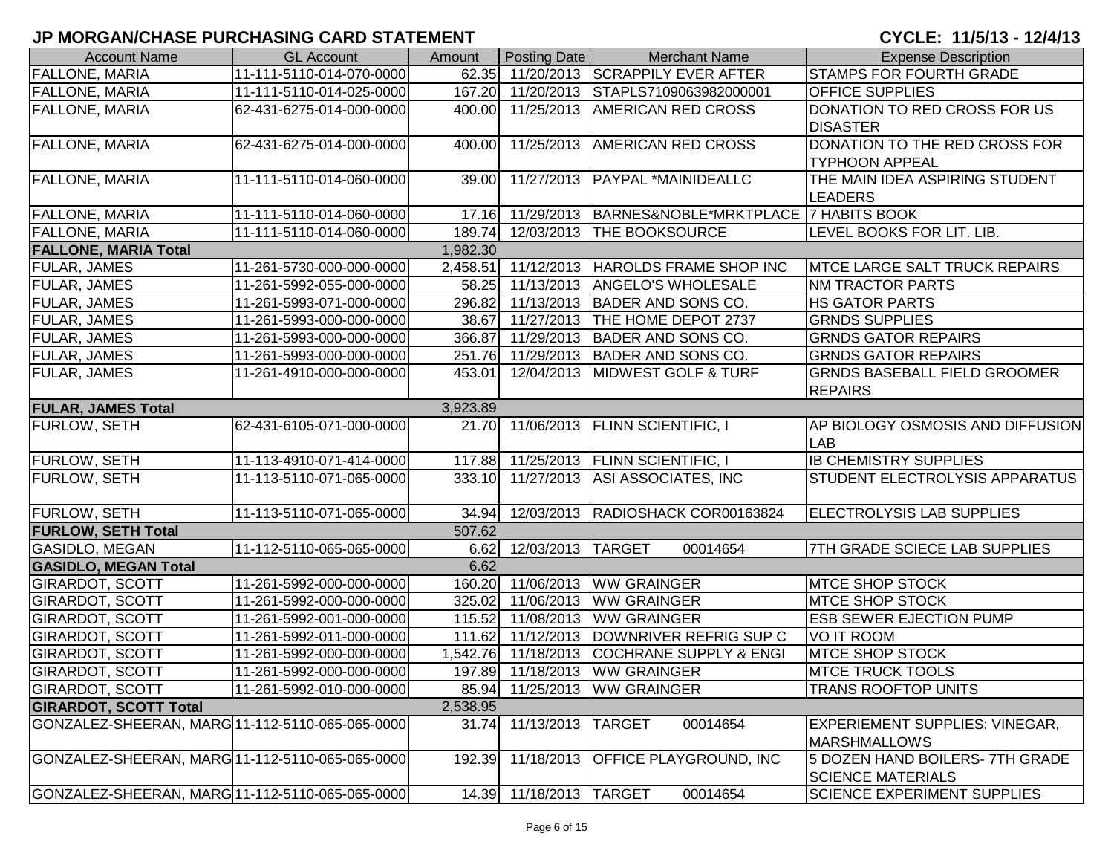| <b>Account Name</b>                             | <b>GL Account</b>        | Amount   | Posting Date            | <b>Merchant Name</b>                                  | <b>Expense Description</b>            |
|-------------------------------------------------|--------------------------|----------|-------------------------|-------------------------------------------------------|---------------------------------------|
| <b>FALLONE, MARIA</b>                           | 11-111-5110-014-070-0000 |          |                         | 62.35 11/20/2013 SCRAPPILY EVER AFTER                 | <b>STAMPS FOR FOURTH GRADE</b>        |
| <b>FALLONE, MARIA</b>                           | 11-111-5110-014-025-0000 |          |                         | 167.20 11/20/2013 STAPLS7109063982000001              | <b>OFFICE SUPPLIES</b>                |
| <b>FALLONE, MARIA</b>                           | 62-431-6275-014-000-0000 |          |                         | 400.00 11/25/2013 AMERICAN RED CROSS                  | DONATION TO RED CROSS FOR US          |
|                                                 |                          |          |                         |                                                       | <b>DISASTER</b>                       |
| <b>FALLONE, MARIA</b>                           | 62-431-6275-014-000-0000 | 400.00   |                         | 11/25/2013 AMERICAN RED CROSS                         | DONATION TO THE RED CROSS FOR         |
|                                                 |                          |          |                         |                                                       | <b>TYPHOON APPEAL</b>                 |
| <b>FALLONE, MARIA</b>                           | 11-111-5110-014-060-0000 | 39.00    | 11/27/2013              | <b>PAYPAL *MAINIDEALLC</b>                            | THE MAIN IDEA ASPIRING STUDENT        |
|                                                 |                          |          |                         |                                                       | <b>LEADERS</b>                        |
| <b>FALLONE, MARIA</b>                           | 11-111-5110-014-060-0000 |          |                         | 17.16 11/29/2013 BARNES&NOBLE*MRKTPLACE 7 HABITS BOOK |                                       |
| <b>FALLONE, MARIA</b>                           | 11-111-5110-014-060-0000 | 189.74   |                         | 12/03/2013 THE BOOKSOURCE                             | LEVEL BOOKS FOR LIT. LIB.             |
| <b>FALLONE, MARIA Total</b>                     |                          | 1,982.30 |                         |                                                       |                                       |
| FULAR, JAMES                                    | 11-261-5730-000-000-0000 |          |                         | 2,458.51 11/12/2013 HAROLDS FRAME SHOP INC            | <b>MTCE LARGE SALT TRUCK REPAIRS</b>  |
| FULAR, JAMES                                    | 11-261-5992-055-000-0000 |          | 58.25 11/13/2013        | <b>ANGELO'S WHOLESALE</b>                             | <b>NM TRACTOR PARTS</b>               |
| <b>FULAR, JAMES</b>                             | 11-261-5993-071-000-0000 | 296.82   | 11/13/2013              | BADER AND SONS CO.                                    | <b>HS GATOR PARTS</b>                 |
| <b>FULAR, JAMES</b>                             | 11-261-5993-000-000-0000 |          |                         | 38.67 11/27/2013 THE HOME DEPOT 2737                  | <b>GRNDS SUPPLIES</b>                 |
| <b>FULAR, JAMES</b>                             | 11-261-5993-000-000-0000 |          | 366.87 11/29/2013       | BADER AND SONS CO.                                    | <b>GRNDS GATOR REPAIRS</b>            |
| <b>FULAR, JAMES</b>                             | 11-261-5993-000-000-0000 |          |                         | 251.76 11/29/2013 BADER AND SONS CO.                  | <b>GRNDS GATOR REPAIRS</b>            |
| <b>FULAR, JAMES</b>                             | 11-261-4910-000-000-0000 |          |                         | 453.01 12/04/2013 MIDWEST GOLF & TURF                 | <b>GRNDS BASEBALL FIELD GROOMER</b>   |
|                                                 |                          |          |                         |                                                       | <b>REPAIRS</b>                        |
| <b>FULAR, JAMES Total</b>                       |                          | 3,923.89 |                         |                                                       |                                       |
| <b>FURLOW, SETH</b>                             | 62-431-6105-071-000-0000 |          |                         | 21.70 11/06/2013 FLINN SCIENTIFIC, I                  | AP BIOLOGY OSMOSIS AND DIFFUSION      |
|                                                 |                          |          |                         |                                                       | <b>LAB</b>                            |
| <b>FURLOW, SETH</b>                             | 11-113-4910-071-414-0000 |          |                         | 117.88 11/25/2013 FLINN SCIENTIFIC, I                 | <b>IB CHEMISTRY SUPPLIES</b>          |
| <b>FURLOW, SETH</b>                             | 11-113-5110-071-065-0000 | 333.10   | 11/27/2013              | ASI ASSOCIATES, INC                                   | STUDENT ELECTROLYSIS APPARATUS        |
|                                                 |                          |          |                         |                                                       |                                       |
| FURLOW, SETH                                    | 11-113-5110-071-065-0000 | 34.94    |                         | 12/03/2013 RADIOSHACK COR00163824                     | <b>ELECTROLYSIS LAB SUPPLIES</b>      |
| <b>FURLOW, SETH Total</b>                       |                          | 507.62   |                         |                                                       |                                       |
| <b>GASIDLO, MEGAN</b>                           | 11-112-5110-065-065-0000 | 6.62     | 12/03/2013 TARGET       | 00014654                                              | 7TH GRADE SCIECE LAB SUPPLIES         |
| <b>GASIDLO, MEGAN Total</b>                     |                          | 6.62     |                         |                                                       |                                       |
| <b>GIRARDOT, SCOTT</b>                          | 11-261-5992-000-000-0000 |          | 160.20 11/06/2013       | <b>WW GRAINGER</b>                                    | <b>MTCE SHOP STOCK</b>                |
| <b>GIRARDOT, SCOTT</b>                          | 11-261-5992-000-000-0000 | 325.02   | 11/06/2013              | <b>WW GRAINGER</b>                                    | <b>MTCE SHOP STOCK</b>                |
| <b>GIRARDOT, SCOTT</b>                          | 11-261-5992-001-000-0000 |          | 115.52 11/08/2013       | <b>WW GRAINGER</b>                                    | <b>ESB SEWER EJECTION PUMP</b>        |
| <b>GIRARDOT, SCOTT</b>                          | 11-261-5992-011-000-0000 |          | 111.62 11/12/2013       | DOWNRIVER REFRIG SUP C                                | <b>VO IT ROOM</b>                     |
| <b>GIRARDOT, SCOTT</b>                          | 11-261-5992-000-000-0000 |          | 1,542.76 11/18/2013     | <b>COCHRANE SUPPLY &amp; ENGI</b>                     | <b>MTCE SHOP STOCK</b>                |
| <b>GIRARDOT, SCOTT</b>                          | 11-261-5992-000-000-0000 |          |                         | 197.89 11/18/2013 WW GRAINGER                         | <b>MTCE TRUCK TOOLS</b>               |
| <b>GIRARDOT, SCOTT</b>                          | 11-261-5992-010-000-0000 | 85.94    |                         | 11/25/2013 WW GRAINGER                                | TRANS ROOFTOP UNITS                   |
| <b>GIRARDOT, SCOTT Total</b>                    |                          | 2,538.95 |                         |                                                       |                                       |
| GONZALEZ-SHEERAN, MARG 11-112-5110-065-065-0000 |                          | 31.74    | 11/13/2013   TARGET     | 00014654                                              | <b>EXPERIEMENT SUPPLIES: VINEGAR,</b> |
|                                                 |                          |          |                         |                                                       | <b>MARSHMALLOWS</b>                   |
| GONZALEZ-SHEERAN, MARG 11-112-5110-065-065-0000 |                          | 192.39   | 11/18/2013              | <b>OFFICE PLAYGROUND, INC</b>                         | 5 DOZEN HAND BOILERS- 7TH GRADE       |
|                                                 |                          |          |                         |                                                       | <b>SCIENCE MATERIALS</b>              |
| GONZALEZ-SHEERAN, MARG 11-112-5110-065-065-0000 |                          |          | 14.39 11/18/2013 TARGET | 00014654                                              | <b>SCIENCE EXPERIMENT SUPPLIES</b>    |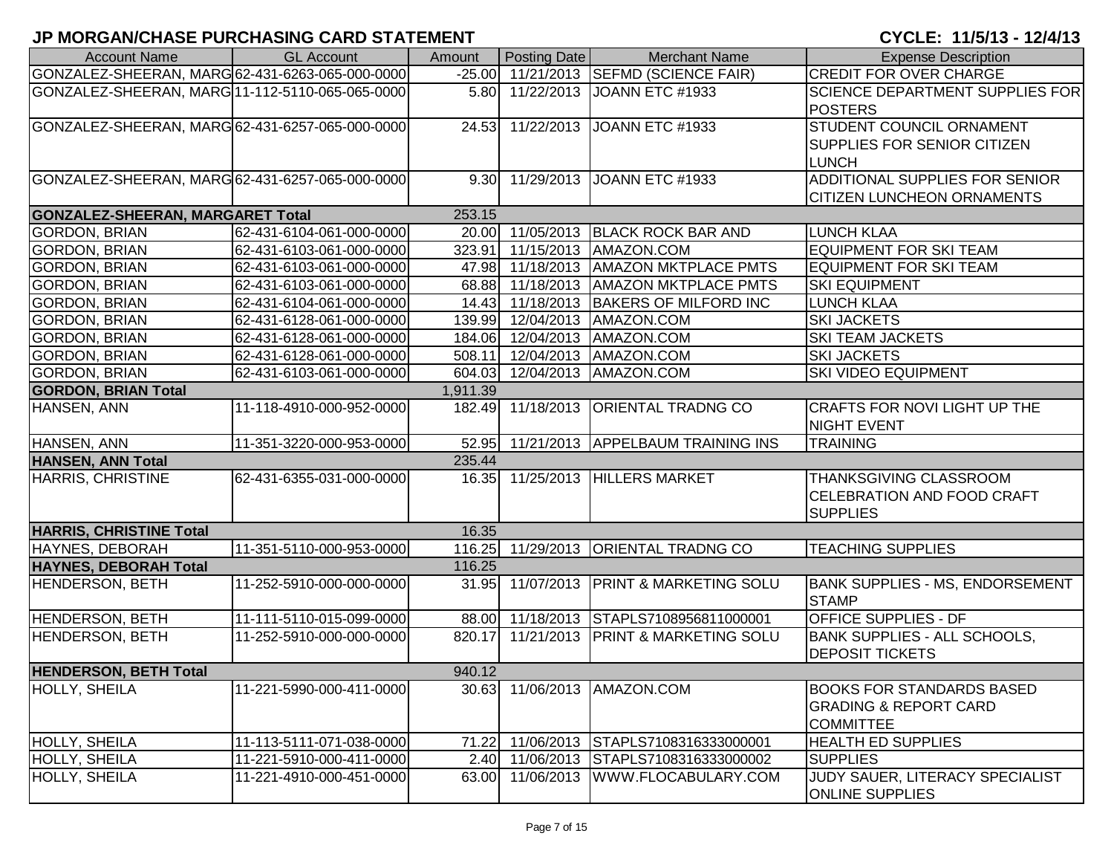| <b>Account Name</b>                             | <b>GL Account</b>        | Amount   | Posting Date      | <b>Merchant Name</b>                    | <b>Expense Description</b>                                                               |
|-------------------------------------------------|--------------------------|----------|-------------------|-----------------------------------------|------------------------------------------------------------------------------------------|
| GONZALEZ-SHEERAN, MARG 62-431-6263-065-000-0000 |                          |          |                   | -25.00 11/21/2013 SEFMD (SCIENCE FAIR)  | <b>CREDIT FOR OVER CHARGE</b>                                                            |
| GONZALEZ-SHEERAN, MARG 11-112-5110-065-065-0000 |                          |          |                   | 5.80 11/22/2013 JOANN ETC #1933         | <b>SCIENCE DEPARTMENT SUPPLIES FOR</b><br><b>POSTERS</b>                                 |
| GONZALEZ-SHEERAN, MARG 62-431-6257-065-000-0000 |                          |          |                   | 24.53 11/22/2013 JOANN ETC #1933        | STUDENT COUNCIL ORNAMENT<br>SUPPLIES FOR SENIOR CITIZEN<br><b>LUNCH</b>                  |
| GONZALEZ-SHEERAN, MARG 62-431-6257-065-000-0000 |                          |          | 9.30 11/29/2013   | JOANN ETC #1933                         | ADDITIONAL SUPPLIES FOR SENIOR<br><b>CITIZEN LUNCHEON ORNAMENTS</b>                      |
| <b>GONZALEZ-SHEERAN, MARGARET Total</b>         |                          | 253.15   |                   |                                         |                                                                                          |
| <b>GORDON, BRIAN</b>                            | 62-431-6104-061-000-0000 |          |                   | 20.00 11/05/2013 BLACK ROCK BAR AND     | <b>LUNCH KLAA</b>                                                                        |
| <b>GORDON, BRIAN</b>                            | 62-431-6103-061-000-0000 |          |                   | 323.91 11/15/2013 AMAZON.COM            | <b>EQUIPMENT FOR SKI TEAM</b>                                                            |
| <b>GORDON, BRIAN</b>                            | 62-431-6103-061-000-0000 |          |                   | 47.98 11/18/2013   AMAZON MKTPLACE PMTS | <b>EQUIPMENT FOR SKI TEAM</b>                                                            |
| <b>GORDON, BRIAN</b>                            | 62-431-6103-061-000-0000 |          |                   | 68.88 11/18/2013 AMAZON MKTPLACE PMTS   | <b>SKI EQUIPMENT</b>                                                                     |
| <b>GORDON, BRIAN</b>                            | 62-431-6104-061-000-0000 |          |                   | 14.43 11/18/2013 BAKERS OF MILFORD INC  | <b>LUNCH KLAA</b>                                                                        |
| <b>GORDON, BRIAN</b>                            | 62-431-6128-061-000-0000 |          |                   | 139.99 12/04/2013 AMAZON.COM            | <b>SKI JACKETS</b>                                                                       |
| <b>GORDON, BRIAN</b>                            | 62-431-6128-061-000-0000 |          |                   | 184.06 12/04/2013 AMAZON.COM            | <b>SKI TEAM JACKETS</b>                                                                  |
| <b>GORDON, BRIAN</b>                            | 62-431-6128-061-000-0000 |          |                   | 508.11 12/04/2013   AMAZON.COM          | <b>SKI JACKETS</b>                                                                       |
| <b>GORDON, BRIAN</b>                            | 62-431-6103-061-000-0000 |          |                   | 604.03 12/04/2013 AMAZON.COM            | <b>SKI VIDEO EQUIPMENT</b>                                                               |
| <b>GORDON, BRIAN Total</b>                      |                          | 1,911.39 |                   |                                         |                                                                                          |
| HANSEN, ANN                                     | 11-118-4910-000-952-0000 |          | 182.49 11/18/2013 | <b>ORIENTAL TRADNG CO</b>               | <b>CRAFTS FOR NOVI LIGHT UP THE</b><br><b>NIGHT EVENT</b>                                |
| HANSEN, ANN                                     | 11-351-3220-000-953-0000 |          |                   | 52.95 11/21/2013 APPELBAUM TRAINING INS | <b>TRAINING</b>                                                                          |
| <b>HANSEN, ANN Total</b>                        |                          | 235.44   |                   |                                         |                                                                                          |
| <b>HARRIS, CHRISTINE</b>                        | 62-431-6355-031-000-0000 |          |                   | 16.35 11/25/2013 HILLERS MARKET         | THANKSGIVING CLASSROOM<br><b>CELEBRATION AND FOOD CRAFT</b><br><b>SUPPLIES</b>           |
| <b>HARRIS, CHRISTINE Total</b>                  |                          | 16.35    |                   |                                         |                                                                                          |
| HAYNES, DEBORAH                                 | 11-351-5110-000-953-0000 |          |                   | 116.25 11/29/2013 ORIENTAL TRADNG CO    | <b>TEACHING SUPPLIES</b>                                                                 |
| <b>HAYNES, DEBORAH Total</b>                    |                          | 116.25   |                   |                                         |                                                                                          |
| <b>HENDERSON, BETH</b>                          | 11-252-5910-000-000-0000 |          | 31.95 11/07/2013  | <b>PRINT &amp; MARKETING SOLU</b>       | BANK SUPPLIES - MS, ENDORSEMENT<br><b>STAMP</b>                                          |
| <b>HENDERSON, BETH</b>                          | 11-111-5110-015-099-0000 |          | 88.00 11/18/2013  | STAPLS7108956811000001                  | <b>OFFICE SUPPLIES - DF</b>                                                              |
| <b>HENDERSON, BETH</b>                          | 11-252-5910-000-000-0000 |          | 820.17 11/21/2013 | <b>PRINT &amp; MARKETING SOLU</b>       | <b>BANK SUPPLIES - ALL SCHOOLS,</b><br><b>DEPOSIT TICKETS</b>                            |
| <b>HENDERSON, BETH Total</b>                    |                          | 940.12   |                   |                                         |                                                                                          |
| HOLLY, SHEILA                                   | 11-221-5990-000-411-0000 |          |                   | 30.63 11/06/2013 AMAZON.COM             | <b>BOOKS FOR STANDARDS BASED</b><br><b>GRADING &amp; REPORT CARD</b><br><b>COMMITTEE</b> |
| HOLLY, SHEILA                                   | 11-113-5111-071-038-0000 | 71.22    | 11/06/2013        | STAPLS7108316333000001                  | <b>HEALTH ED SUPPLIES</b>                                                                |
| <b>HOLLY, SHEILA</b>                            | 11-221-5910-000-411-0000 | 2.40     | 11/06/2013        | STAPLS7108316333000002                  | <b>SUPPLIES</b>                                                                          |
| HOLLY, SHEILA                                   | 11-221-4910-000-451-0000 | 63.00    | 11/06/2013        | WWW.FLOCABULARY.COM                     | JUDY SAUER, LITERACY SPECIALIST<br><b>IONLINE SUPPLIES</b>                               |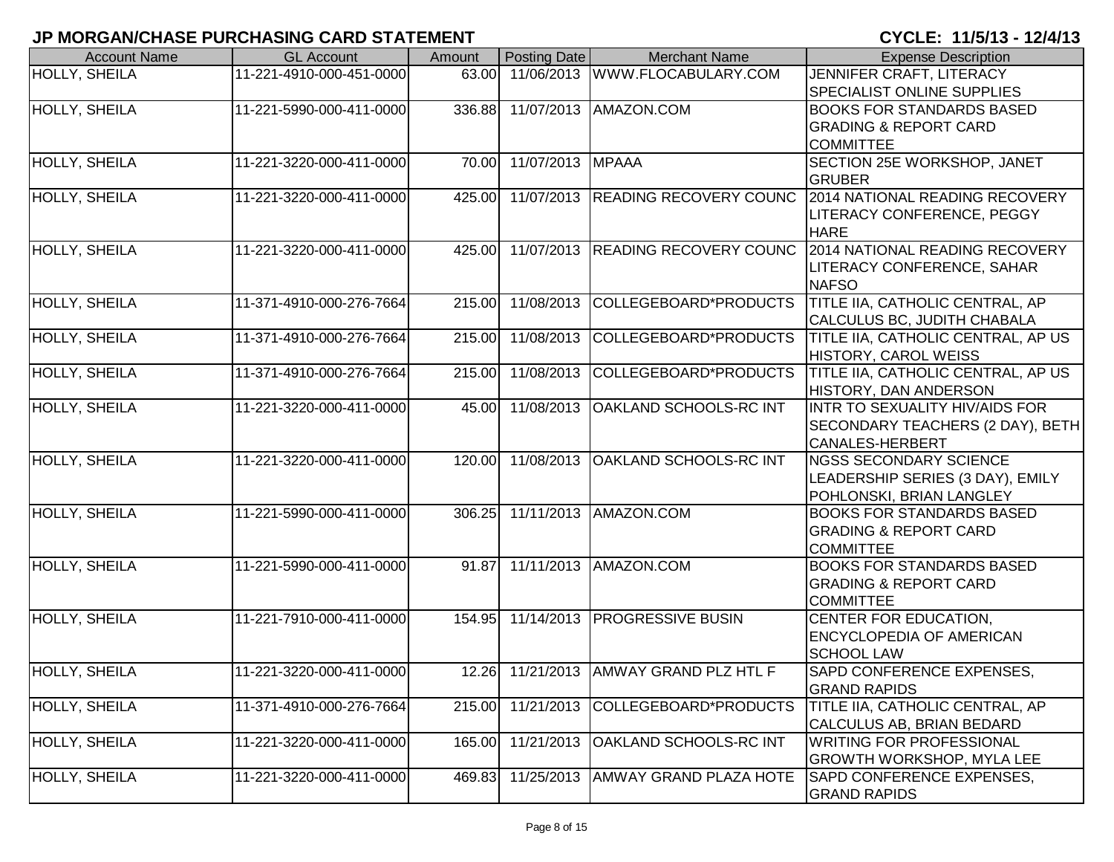| <b>Account Name</b>  | <b>GL Account</b>        | Amount | Posting Date     | <b>Merchant Name</b>                   | <b>Expense Description</b>                                       |
|----------------------|--------------------------|--------|------------------|----------------------------------------|------------------------------------------------------------------|
| HOLLY, SHEILA        | 11-221-4910-000-451-0000 | 63.00  |                  | 11/06/2013 WWW.FLOCABULARY.COM         | JENNIFER CRAFT, LITERACY                                         |
|                      |                          |        |                  |                                        | <b>SPECIALIST ONLINE SUPPLIES</b>                                |
| HOLLY, SHEILA        | 11-221-5990-000-411-0000 | 336.88 |                  | 11/07/2013   AMAZON.COM                | <b>BOOKS FOR STANDARDS BASED</b>                                 |
|                      |                          |        |                  |                                        | <b>GRADING &amp; REPORT CARD</b>                                 |
|                      |                          |        |                  |                                        | <b>COMMITTEE</b>                                                 |
| HOLLY, SHEILA        | 11-221-3220-000-411-0000 | 70.00  | 11/07/2013 MPAAA |                                        | SECTION 25E WORKSHOP, JANET                                      |
|                      |                          |        |                  |                                        | <b>GRUBER</b>                                                    |
| <b>HOLLY, SHEILA</b> | 11-221-3220-000-411-0000 | 425.00 |                  |                                        | 11/07/2013 READING RECOVERY COUNC 2014 NATIONAL READING RECOVERY |
|                      |                          |        |                  |                                        | LITERACY CONFERENCE, PEGGY                                       |
|                      |                          |        |                  |                                        | <b>HARE</b>                                                      |
| <b>HOLLY, SHEILA</b> | 11-221-3220-000-411-0000 | 425.00 | 11/07/2013       | <b>READING RECOVERY COUNC</b>          | 2014 NATIONAL READING RECOVERY                                   |
|                      |                          |        |                  |                                        | <b>LITERACY CONFERENCE, SAHAR</b>                                |
|                      |                          |        |                  |                                        | <b>NAFSO</b>                                                     |
| <b>HOLLY, SHEILA</b> | 11-371-4910-000-276-7664 | 215.00 | 11/08/2013       | COLLEGEBOARD*PRODUCTS                  | TITLE IIA, CATHOLIC CENTRAL, AP                                  |
|                      |                          |        |                  |                                        | CALCULUS BC, JUDITH CHABALA                                      |
| HOLLY, SHEILA        | 11-371-4910-000-276-7664 | 215.00 | 11/08/2013       | COLLEGEBOARD*PRODUCTS                  | TITLE IIA, CATHOLIC CENTRAL, AP US                               |
|                      |                          |        |                  |                                        | HISTORY, CAROL WEISS                                             |
| HOLLY, SHEILA        | 11-371-4910-000-276-7664 | 215.00 | 11/08/2013       | COLLEGEBOARD*PRODUCTS                  | <b>TITLE IIA, CATHOLIC CENTRAL, AP US</b>                        |
|                      |                          |        |                  |                                        | HISTORY, DAN ANDERSON                                            |
| HOLLY, SHEILA        | 11-221-3220-000-411-0000 | 45.00  | 11/08/2013       | <b>OAKLAND SCHOOLS-RC INT</b>          | INTR TO SEXUALITY HIV/AIDS FOR                                   |
|                      |                          |        |                  |                                        | SECONDARY TEACHERS (2 DAY), BETH                                 |
|                      |                          |        |                  |                                        | <b>CANALES-HERBERT</b>                                           |
| HOLLY, SHEILA        | 11-221-3220-000-411-0000 | 120.00 | 11/08/2013       | <b>OAKLAND SCHOOLS-RC INT</b>          | <b>NGSS SECONDARY SCIENCE</b>                                    |
|                      |                          |        |                  |                                        | LEADERSHIP SERIES (3 DAY), EMILY                                 |
|                      |                          |        |                  |                                        | POHLONSKI, BRIAN LANGLEY                                         |
| <b>HOLLY, SHEILA</b> | 11-221-5990-000-411-0000 | 306.25 |                  | 11/11/2013 AMAZON.COM                  | <b>BOOKS FOR STANDARDS BASED</b>                                 |
|                      |                          |        |                  |                                        | <b>GRADING &amp; REPORT CARD</b>                                 |
|                      |                          |        |                  |                                        | <b>COMMITTEE</b>                                                 |
| HOLLY, SHEILA        | 11-221-5990-000-411-0000 | 91.87  |                  | 11/11/2013 AMAZON.COM                  | <b>BOOKS FOR STANDARDS BASED</b>                                 |
|                      |                          |        |                  |                                        | <b>GRADING &amp; REPORT CARD</b>                                 |
|                      |                          |        |                  |                                        | <b>COMMITTEE</b>                                                 |
| <b>HOLLY, SHEILA</b> | 11-221-7910-000-411-0000 | 154.95 |                  | 11/14/2013   PROGRESSIVE BUSIN         | CENTER FOR EDUCATION,                                            |
|                      |                          |        |                  |                                        | <b>ENCYCLOPEDIA OF AMERICAN</b>                                  |
|                      |                          |        |                  |                                        | <b>SCHOOL LAW</b>                                                |
| HOLLY, SHEILA        | 11-221-3220-000-411-0000 |        |                  | 12.26 11/21/2013 AMWAY GRAND PLZ HTL F | SAPD CONFERENCE EXPENSES,                                        |
|                      |                          |        |                  |                                        | <b>GRAND RAPIDS</b>                                              |
| HOLLY, SHEILA        | 11-371-4910-000-276-7664 | 215.00 | 11/21/2013       | COLLEGEBOARD*PRODUCTS                  | TITLE IIA, CATHOLIC CENTRAL, AP                                  |
|                      |                          |        |                  |                                        | CALCULUS AB, BRIAN BEDARD                                        |
| HOLLY, SHEILA        | 11-221-3220-000-411-0000 | 165.00 | 11/21/2013       | <b>OAKLAND SCHOOLS-RC INT</b>          | <b>WRITING FOR PROFESSIONAL</b>                                  |
|                      |                          |        |                  |                                        | GROWTH WORKSHOP, MYLA LEE                                        |
| HOLLY, SHEILA        | 11-221-3220-000-411-0000 | 469.83 | 11/25/2013       | <b>AMWAY GRAND PLAZA HOTE</b>          | <b>SAPD CONFERENCE EXPENSES,</b>                                 |
|                      |                          |        |                  |                                        | <b>GRAND RAPIDS</b>                                              |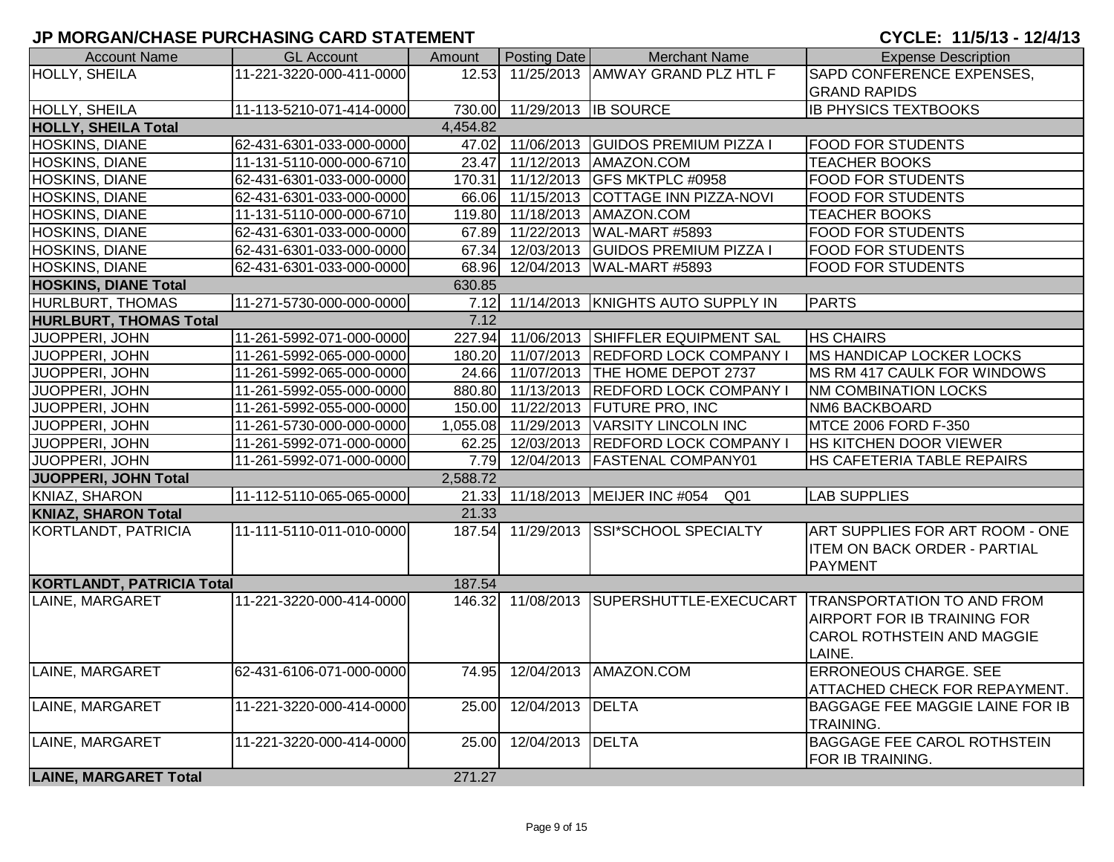| <b>Account Name</b>              | <b>GL Account</b>        | Amount   | Posting Date                | <b>Merchant Name</b>                                | <b>Expense Description</b>                                    |
|----------------------------------|--------------------------|----------|-----------------------------|-----------------------------------------------------|---------------------------------------------------------------|
| <b>HOLLY, SHEILA</b>             | 11-221-3220-000-411-0000 | 12.53    |                             | 11/25/2013 AMWAY GRAND PLZ HTL F                    | SAPD CONFERENCE EXPENSES.                                     |
|                                  |                          |          |                             |                                                     | <b>GRAND RAPIDS</b>                                           |
| HOLLY, SHEILA                    | 11-113-5210-071-414-0000 |          | 730.00 11/29/2013 IB SOURCE |                                                     | <b>IB PHYSICS TEXTBOOKS</b>                                   |
| <b>HOLLY, SHEILA Total</b>       |                          | 4,454.82 |                             |                                                     |                                                               |
| <b>HOSKINS, DIANE</b>            | 62-431-6301-033-000-0000 |          |                             | 47.02 11/06/2013 GUIDOS PREMIUM PIZZA I             | <b>FOOD FOR STUDENTS</b>                                      |
| HOSKINS, DIANE                   | 11-131-5110-000-000-6710 |          |                             | 23.47 11/12/2013 AMAZON.COM                         | <b>TEACHER BOOKS</b>                                          |
| <b>HOSKINS, DIANE</b>            | 62-431-6301-033-000-0000 |          |                             | 170.31 11/12/2013 GFS MKTPLC #0958                  | <b>FOOD FOR STUDENTS</b>                                      |
| <b>HOSKINS, DIANE</b>            | 62-431-6301-033-000-0000 |          |                             | 66.06 11/15/2013 COTTAGE INN PIZZA-NOVI             | <b>FOOD FOR STUDENTS</b>                                      |
| HOSKINS, DIANE                   | 11-131-5110-000-000-6710 |          |                             | 119.80 11/18/2013 AMAZON.COM                        | <b>TEACHER BOOKS</b>                                          |
| HOSKINS, DIANE                   | 62-431-6301-033-000-0000 |          |                             | 67.89 11/22/2013 WAL-MART #5893                     | <b>FOOD FOR STUDENTS</b>                                      |
| HOSKINS, DIANE                   | 62-431-6301-033-000-0000 |          |                             | 67.34 12/03/2013 GUIDOS PREMIUM PIZZA I             | <b>FOOD FOR STUDENTS</b>                                      |
| <b>HOSKINS, DIANE</b>            | 62-431-6301-033-000-0000 |          |                             | 68.96 12/04/2013 WAL-MART #5893                     | <b>FOOD FOR STUDENTS</b>                                      |
| <b>HOSKINS, DIANE Total</b>      |                          | 630.85   |                             |                                                     |                                                               |
| <b>HURLBURT, THOMAS</b>          | 11-271-5730-000-000-0000 |          |                             | 7.12 11/14/2013 KNIGHTS AUTO SUPPLY IN              | <b>PARTS</b>                                                  |
| <b>HURLBURT, THOMAS Total</b>    |                          | 7.12     |                             |                                                     |                                                               |
| JUOPPERI, JOHN                   | 11-261-5992-071-000-0000 |          |                             | 227.94 11/06/2013 SHIFFLER EQUIPMENT SAL            | <b>HS CHAIRS</b>                                              |
| JUOPPERI, JOHN                   | 11-261-5992-065-000-0000 |          |                             | 180.20 11/07/2013 REDFORD LOCK COMPANY I            | MS HANDICAP LOCKER LOCKS                                      |
| JUOPPERI, JOHN                   | 11-261-5992-065-000-0000 |          |                             | 24.66 11/07/2013 THE HOME DEPOT 2737                | MS RM 417 CAULK FOR WINDOWS                                   |
| <b>JUOPPERI, JOHN</b>            | 11-261-5992-055-000-0000 |          |                             | 880.80 11/13/2013 REDFORD LOCK COMPANY I            | <b>NM COMBINATION LOCKS</b>                                   |
| JUOPPERI, JOHN                   | 11-261-5992-055-000-0000 |          |                             | 150.00 11/22/2013 FUTURE PRO, INC                   | NM6 BACKBOARD                                                 |
| JUOPPERI, JOHN                   | 11-261-5730-000-000-0000 |          |                             | 1,055.08 11/29/2013 VARSITY LINCOLN INC             | MTCE 2006 FORD F-350                                          |
| JUOPPERI, JOHN                   | 11-261-5992-071-000-0000 |          |                             | 62.25 12/03/2013 REDFORD LOCK COMPANY I             | HS KITCHEN DOOR VIEWER                                        |
| JUOPPERI, JOHN                   | 11-261-5992-071-000-0000 |          |                             | 7.79 12/04/2013 FASTENAL COMPANY01                  | HS CAFETERIA TABLE REPAIRS                                    |
| JUOPPERI, JOHN Total             |                          | 2,588.72 |                             |                                                     |                                                               |
| KNIAZ, SHARON                    | 11-112-5110-065-065-0000 |          |                             | 21.33 11/18/2013 MEIJER INC #054<br>Q <sub>01</sub> | <b>LAB SUPPLIES</b>                                           |
| <b>KNIAZ, SHARON Total</b>       |                          | 21.33    |                             |                                                     |                                                               |
| KORTLANDT, PATRICIA              | 11-111-5110-011-010-0000 |          |                             | 187.54 11/29/2013 SSI*SCHOOL SPECIALTY              | ART SUPPLIES FOR ART ROOM - ONE                               |
|                                  |                          |          |                             |                                                     | <b>ITEM ON BACK ORDER - PARTIAL</b><br><b>PAYMENT</b>         |
| <b>KORTLANDT, PATRICIA Total</b> |                          | 187.54   |                             |                                                     |                                                               |
|                                  |                          |          |                             |                                                     | 11/08/2013 SUPERSHUTTLE-EXECUCART TRANSPORTATION TO AND FROM  |
| LAINE, MARGARET                  | 11-221-3220-000-414-0000 | 146.32   |                             |                                                     | AIRPORT FOR IB TRAINING FOR                                   |
|                                  |                          |          |                             |                                                     |                                                               |
|                                  |                          |          |                             |                                                     | CAROL ROTHSTEIN AND MAGGIE                                    |
|                                  |                          |          |                             |                                                     | LAINE.                                                        |
| LAINE, MARGARET                  | 62-431-6106-071-000-0000 | 74.95    |                             | 12/04/2013 AMAZON.COM                               | <b>ERRONEOUS CHARGE. SEE</b><br>ATTACHED CHECK FOR REPAYMENT. |
| LAINE, MARGARET                  | 11-221-3220-000-414-0000 | 25.00    | 12/04/2013 DELTA            |                                                     | BAGGAGE FEE MAGGIE LAINE FOR IB                               |
|                                  |                          |          |                             |                                                     | TRAINING.                                                     |
| LAINE, MARGARET                  | 11-221-3220-000-414-0000 | 25.00    | 12/04/2013 DELTA            |                                                     | <b>BAGGAGE FEE CAROL ROTHSTEIN</b>                            |
|                                  |                          |          |                             |                                                     | FOR IB TRAINING.                                              |
| <b>LAINE, MARGARET Total</b>     |                          | 271.27   |                             |                                                     |                                                               |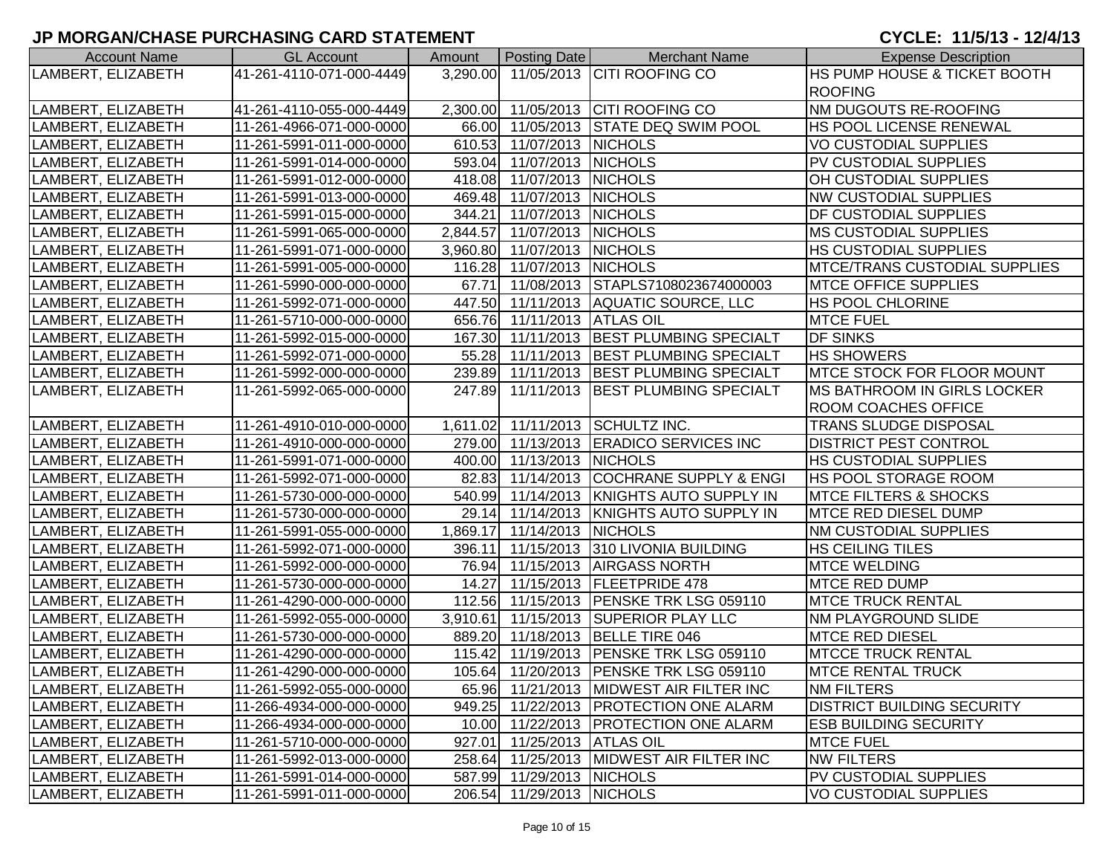| <b>Account Name</b> | <b>GL Account</b>        | Amount | <b>Posting Date</b>         | <b>Merchant Name</b>                     | <b>Expense Description</b>         |
|---------------------|--------------------------|--------|-----------------------------|------------------------------------------|------------------------------------|
| LAMBERT, ELIZABETH  | 41-261-4110-071-000-4449 |        |                             | 3,290.00 11/05/2013 CITI ROOFING CO      | HS PUMP HOUSE & TICKET BOOTH       |
|                     |                          |        |                             |                                          | <b>ROOFING</b>                     |
| LAMBERT, ELIZABETH  | 41-261-4110-055-000-4449 |        |                             | 2,300.00 11/05/2013 CITI ROOFING CO      | NM DUGOUTS RE-ROOFING              |
| LAMBERT, ELIZABETH  | 11-261-4966-071-000-0000 |        |                             | 66.00 11/05/2013 STATE DEQ SWIM POOL     | HS POOL LICENSE RENEWAL            |
| LAMBERT, ELIZABETH  | 11-261-5991-011-000-0000 |        | 610.53 11/07/2013 NICHOLS   |                                          | VO CUSTODIAL SUPPLIES              |
| LAMBERT, ELIZABETH  | 11-261-5991-014-000-0000 |        | 593.04 11/07/2013 NICHOLS   |                                          | PV CUSTODIAL SUPPLIES              |
| LAMBERT, ELIZABETH  | 11-261-5991-012-000-0000 |        | 418.08 11/07/2013 NICHOLS   |                                          | OH CUSTODIAL SUPPLIES              |
| LAMBERT, ELIZABETH  | 11-261-5991-013-000-0000 |        | 469.48 11/07/2013 NICHOLS   |                                          | <b>NW CUSTODIAL SUPPLIES</b>       |
| LAMBERT, ELIZABETH  | 11-261-5991-015-000-0000 |        | 344.21 11/07/2013 NICHOLS   |                                          | DF CUSTODIAL SUPPLIES              |
| LAMBERT, ELIZABETH  | 11-261-5991-065-000-0000 |        | 2,844.57 11/07/2013 NICHOLS |                                          | <b>MS CUSTODIAL SUPPLIES</b>       |
| LAMBERT, ELIZABETH  | 11-261-5991-071-000-0000 |        | 3,960.80 11/07/2013 NICHOLS |                                          | HS CUSTODIAL SUPPLIES              |
| LAMBERT, ELIZABETH  | 11-261-5991-005-000-0000 |        | 116.28 11/07/2013 NICHOLS   |                                          | MTCE/TRANS CUSTODIAL SUPPLIES      |
| LAMBERT, ELIZABETH  | 11-261-5990-000-000-0000 |        |                             | 67.71 11/08/2013 STAPLS7108023674000003  | MTCE OFFICE SUPPLIES               |
| LAMBERT, ELIZABETH  | 11-261-5992-071-000-0000 |        |                             | 447.50 11/11/2013 AQUATIC SOURCE, LLC    | HS POOL CHLORINE                   |
| LAMBERT, ELIZABETH  | 11-261-5710-000-000-0000 |        | 656.76 11/11/2013 ATLAS OIL |                                          | <b>MTCE FUEL</b>                   |
| LAMBERT, ELIZABETH  | 11-261-5992-015-000-0000 |        | 167.30 11/11/2013           | <b>BEST PLUMBING SPECIALT</b>            | <b>DF SINKS</b>                    |
| LAMBERT, ELIZABETH  | 11-261-5992-071-000-0000 |        |                             | 55.28 11/11/2013 BEST PLUMBING SPECIALT  | <b>HS SHOWERS</b>                  |
| LAMBERT, ELIZABETH  | 11-261-5992-000-000-0000 |        |                             | 239.89 11/11/2013 BEST PLUMBING SPECIALT | <b>MTCE STOCK FOR FLOOR MOUNT</b>  |
| LAMBERT, ELIZABETH  | 11-261-5992-065-000-0000 |        |                             | 247.89 11/11/2013 BEST PLUMBING SPECIALT | <b>MS BATHROOM IN GIRLS LOCKER</b> |
|                     |                          |        |                             |                                          | ROOM COACHES OFFICE                |
| LAMBERT, ELIZABETH  | 11-261-4910-010-000-0000 |        |                             | 1,611.02 11/11/2013 SCHULTZ INC.         | TRANS SLUDGE DISPOSAL              |
| LAMBERT, ELIZABETH  | 11-261-4910-000-000-0000 |        |                             | 279.00 11/13/2013 ERADICO SERVICES INC   | <b>DISTRICT PEST CONTROL</b>       |
| LAMBERT, ELIZABETH  | 11-261-5991-071-000-0000 |        | 400.00 11/13/2013 NICHOLS   |                                          | HS CUSTODIAL SUPPLIES              |
| LAMBERT, ELIZABETH  | 11-261-5992-071-000-0000 |        |                             | 82.83 11/14/2013 COCHRANE SUPPLY & ENGI  | HS POOL STORAGE ROOM               |
| LAMBERT, ELIZABETH  | 11-261-5730-000-000-0000 |        |                             | 540.99 11/14/2013 KNIGHTS AUTO SUPPLY IN | <b>MTCE FILTERS &amp; SHOCKS</b>   |
| LAMBERT, ELIZABETH  | 11-261-5730-000-000-0000 |        |                             | 29.14 11/14/2013 KNIGHTS AUTO SUPPLY IN  | MTCE RED DIESEL DUMP               |
| LAMBERT, ELIZABETH  | 11-261-5991-055-000-0000 |        | 1,869.17 11/14/2013 NICHOLS |                                          | NM CUSTODIAL SUPPLIES              |
| LAMBERT, ELIZABETH  | 11-261-5992-071-000-0000 |        |                             | 396.11 11/15/2013 310 LIVONIA BUILDING   | HS CEILING TILES                   |
| LAMBERT, ELIZABETH  | 11-261-5992-000-000-0000 |        |                             | 76.94 11/15/2013 AIRGASS NORTH           | <b>MTCE WELDING</b>                |
| LAMBERT, ELIZABETH  | 11-261-5730-000-000-0000 |        |                             | 14.27 11/15/2013 FLEETPRIDE 478          | MTCE RED DUMP                      |
| LAMBERT, ELIZABETH  | 11-261-4290-000-000-0000 |        |                             | 112.56 11/15/2013 PENSKE TRK LSG 059110  | <b>MTCE TRUCK RENTAL</b>           |
| LAMBERT, ELIZABETH  | 11-261-5992-055-000-0000 |        |                             | 3,910.61 11/15/2013 SUPERIOR PLAY LLC    | NM PLAYGROUND SLIDE                |
| LAMBERT, ELIZABETH  | 11-261-5730-000-000-0000 |        |                             | 889.20 11/18/2013 BELLE TIRE 046         | <b>MTCE RED DIESEL</b>             |
| LAMBERT, ELIZABETH  | 11-261-4290-000-000-0000 |        |                             | 115.42 11/19/2013 PENSKE TRK LSG 059110  | <b>MTCCE TRUCK RENTAL</b>          |
| LAMBERT, ELIZABETH  | 11-261-4290-000-000-0000 |        |                             | 105.64 11/20/2013 PENSKE TRK LSG 059110  | <b>MTCE RENTAL TRUCK</b>           |
| LAMBERT, ELIZABETH  | 11-261-5992-055-000-0000 |        |                             | 65.96 11/21/2013 MIDWEST AIR FILTER INC  | <b>NM FILTERS</b>                  |
| LAMBERT, ELIZABETH  | 11-266-4934-000-000-0000 |        |                             | 949.25 11/22/2013 PROTECTION ONE ALARM   | DISTRICT BUILDING SECURITY         |
| LAMBERT, ELIZABETH  | 11-266-4934-000-000-0000 |        |                             | 10.00 11/22/2013 PROTECTION ONE ALARM    | <b>ESB BUILDING SECURITY</b>       |
| LAMBERT, ELIZABETH  | 11-261-5710-000-000-0000 |        | 927.01 11/25/2013 ATLAS OIL |                                          | <b>MTCE FUEL</b>                   |
| LAMBERT, ELIZABETH  | 11-261-5992-013-000-0000 |        |                             | 258.64 11/25/2013 MIDWEST AIR FILTER INC | <b>NW FILTERS</b>                  |
| LAMBERT, ELIZABETH  | 11-261-5991-014-000-0000 |        | 587.99 11/29/2013 NICHOLS   |                                          | PV CUSTODIAL SUPPLIES              |
| LAMBERT, ELIZABETH  | 11-261-5991-011-000-0000 |        | 206.54 11/29/2013 NICHOLS   |                                          | VO CUSTODIAL SUPPLIES              |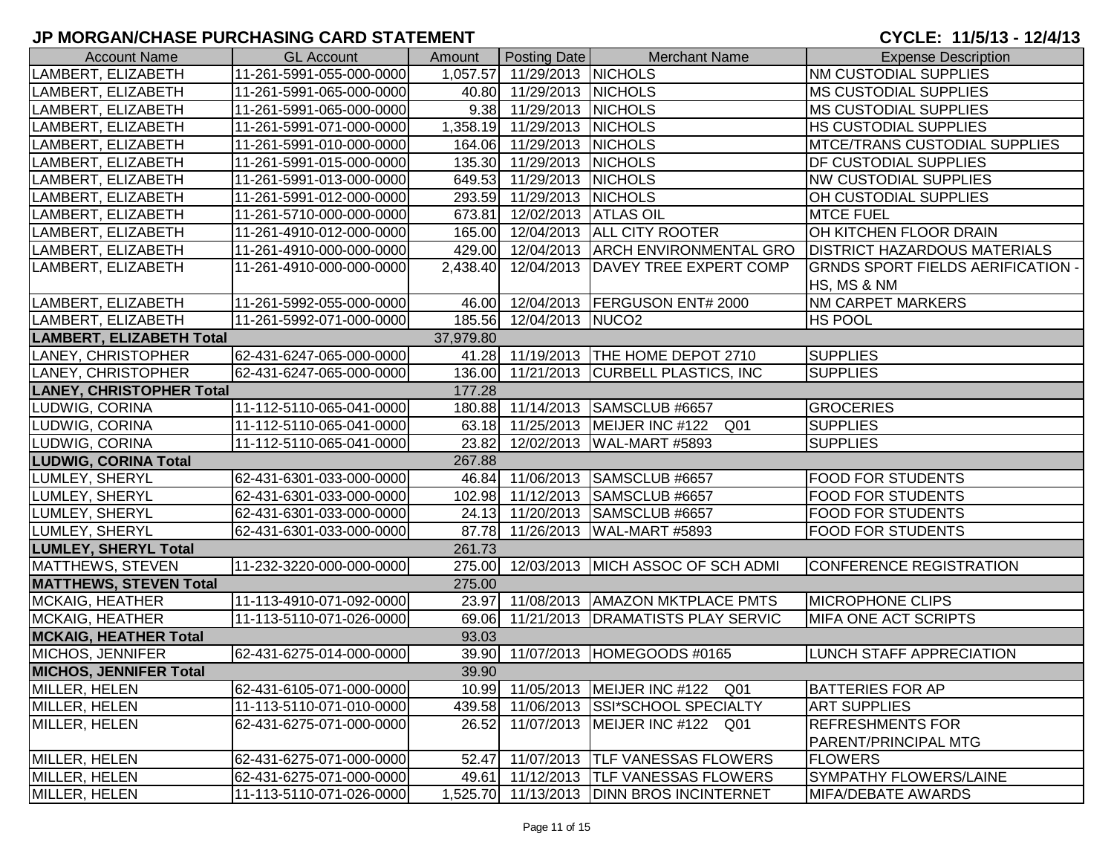## **JP MORGAN/CHASE PURCHASING CARD STATEMENT**

| <b>Account Name</b>             | <b>GL Account</b>        | Amount    | Posting Date                | <b>Merchant Name</b>                                | <b>Expense Description</b>               |
|---------------------------------|--------------------------|-----------|-----------------------------|-----------------------------------------------------|------------------------------------------|
| LAMBERT, ELIZABETH              | 11-261-5991-055-000-0000 |           | 1,057.57 11/29/2013 NICHOLS |                                                     | <b>NM CUSTODIAL SUPPLIES</b>             |
| LAMBERT, ELIZABETH              | 11-261-5991-065-000-0000 |           | 40.80 11/29/2013 NICHOLS    |                                                     | MS CUSTODIAL SUPPLIES                    |
| LAMBERT, ELIZABETH              | 11-261-5991-065-000-0000 |           | 9.38 11/29/2013 NICHOLS     |                                                     | <b>MS CUSTODIAL SUPPLIES</b>             |
| LAMBERT, ELIZABETH              | 11-261-5991-071-000-0000 |           | 1,358.19 11/29/2013         | <b>NICHOLS</b>                                      | HS CUSTODIAL SUPPLIES                    |
| LAMBERT, ELIZABETH              | 11-261-5991-010-000-0000 |           | 164.06 11/29/2013 NICHOLS   |                                                     | <b>MTCE/TRANS CUSTODIAL SUPPLIES</b>     |
| LAMBERT, ELIZABETH              | 11-261-5991-015-000-0000 |           | 135.30 11/29/2013 NICHOLS   |                                                     | DF CUSTODIAL SUPPLIES                    |
| LAMBERT, ELIZABETH              | 11-261-5991-013-000-0000 |           | 649.53 11/29/2013 NICHOLS   |                                                     | <b>NW CUSTODIAL SUPPLIES</b>             |
| LAMBERT, ELIZABETH              | 11-261-5991-012-000-0000 |           | 293.59 11/29/2013 NICHOLS   |                                                     | OH CUSTODIAL SUPPLIES                    |
| LAMBERT, ELIZABETH              | 11-261-5710-000-000-0000 |           | 673.81 12/02/2013 ATLAS OIL |                                                     | <b>MTCE FUEL</b>                         |
| LAMBERT, ELIZABETH              | 11-261-4910-012-000-0000 |           | 165.00 12/04/2013           | <b>ALL CITY ROOTER</b>                              | OH KITCHEN FLOOR DRAIN                   |
| LAMBERT, ELIZABETH              | 11-261-4910-000-000-0000 |           | 429.00 12/04/2013           | <b>ARCH ENVIRONMENTAL GRO</b>                       | <b>DISTRICT HAZARDOUS MATERIALS</b>      |
| LAMBERT, ELIZABETH              | 11-261-4910-000-000-0000 | 2,438.40  | 12/04/2013                  | DAVEY TREE EXPERT COMP                              | <b>GRNDS SPORT FIELDS AERIFICATION -</b> |
|                                 |                          |           |                             |                                                     | HS, MS & NM                              |
| LAMBERT, ELIZABETH              | 11-261-5992-055-000-0000 | 46.00     |                             | 12/04/2013   FERGUSON ENT# 2000                     | NM CARPET MARKERS                        |
| LAMBERT, ELIZABETH              | 11-261-5992-071-000-0000 |           | 185.56 12/04/2013 NUCO2     |                                                     | HS POOL                                  |
| <b>LAMBERT, ELIZABETH Total</b> |                          | 37,979.80 |                             |                                                     |                                          |
| LANEY, CHRISTOPHER              | 62-431-6247-065-000-0000 |           |                             | 41.28 11/19/2013 THE HOME DEPOT 2710                | <b>SUPPLIES</b>                          |
| LANEY, CHRISTOPHER              | 62-431-6247-065-000-0000 |           |                             | 136.00 11/21/2013 CURBELL PLASTICS, INC             | <b>SUPPLIES</b>                          |
| <b>LANEY, CHRISTOPHER Total</b> |                          | 177.28    |                             |                                                     |                                          |
| LUDWIG, CORINA                  | 11-112-5110-065-041-0000 |           |                             | 180.88 11/14/2013 SAMSCLUB #6657                    | <b>GROCERIES</b>                         |
| LUDWIG, CORINA                  | 11-112-5110-065-041-0000 |           |                             | 63.18 11/25/2013 MEIJER INC #122<br>Q <sub>01</sub> | <b>SUPPLIES</b>                          |
| LUDWIG, CORINA                  | 11-112-5110-065-041-0000 |           | 23.82 12/02/2013            | WAL-MART #5893                                      | <b>SUPPLIES</b>                          |
| <b>LUDWIG, CORINA Total</b>     |                          | 267.88    |                             |                                                     |                                          |
| LUMLEY, SHERYL                  | 62-431-6301-033-000-0000 |           |                             | 46.84 11/06/2013 SAMSCLUB #6657                     | <b>FOOD FOR STUDENTS</b>                 |
| LUMLEY, SHERYL                  | 62-431-6301-033-000-0000 |           | 102.98 11/12/2013           | SAMSCLUB #6657                                      | <b>FOOD FOR STUDENTS</b>                 |
| LUMLEY, SHERYL                  | 62-431-6301-033-000-0000 |           | 24.13 11/20/2013            | SAMSCLUB #6657                                      | FOOD FOR STUDENTS                        |
| LUMLEY, SHERYL                  | 62-431-6301-033-000-0000 |           | 87.78 11/26/2013            | WAL-MART #5893                                      | <b>FOOD FOR STUDENTS</b>                 |
| <b>LUMLEY, SHERYL Total</b>     |                          | 261.73    |                             |                                                     |                                          |
| MATTHEWS, STEVEN                | 11-232-3220-000-000-0000 |           |                             | 275.00 12/03/2013 MICH ASSOC OF SCH ADMI            | <b>CONFERENCE REGISTRATION</b>           |
| <b>MATTHEWS, STEVEN Total</b>   |                          | 275.00    |                             |                                                     |                                          |
| MCKAIG, HEATHER                 | 11-113-4910-071-092-0000 |           |                             | 23.97 11/08/2013   AMAZON MKTPLACE PMTS             | <b>MICROPHONE CLIPS</b>                  |
| MCKAIG, HEATHER                 | 11-113-5110-071-026-0000 |           |                             | 69.06 11/21/2013 DRAMATISTS PLAY SERVIC             | MIFA ONE ACT SCRIPTS                     |
| <b>MCKAIG, HEATHER Total</b>    |                          | 93.03     |                             |                                                     |                                          |
| MICHOS, JENNIFER                | 62-431-6275-014-000-0000 |           |                             | 39.90 11/07/2013 HOMEGOODS #0165                    | LUNCH STAFF APPRECIATION                 |
| <b>MICHOS, JENNIFER Total</b>   |                          | 39.90     |                             |                                                     |                                          |
| MILLER, HELEN                   | 62-431-6105-071-000-0000 |           |                             | 10.99 11/05/2013 MEIJER INC #122 Q01                | <b>BATTERIES FOR AP</b>                  |
| <b>MILLER, HELEN</b>            | 11-113-5110-071-010-0000 | 439.58    |                             | 11/06/2013 SSI*SCHOOL SPECIALTY                     | <b>ART SUPPLIES</b>                      |
| MILLER, HELEN                   | 62-431-6275-071-000-0000 | 26.52     |                             | 11/07/2013 MEIJER INC #122 Q01                      | <b>REFRESHMENTS FOR</b>                  |
|                                 |                          |           |                             |                                                     | PARENT/PRINCIPAL MTG                     |
| MILLER, HELEN                   | 62-431-6275-071-000-0000 | 52.47     |                             | 11/07/2013  TLF VANESSAS FLOWERS                    | <b>FLOWERS</b>                           |
| MILLER, HELEN                   | 62-431-6275-071-000-0000 |           |                             | 49.61 11/12/2013 TLF VANESSAS FLOWERS               | SYMPATHY FLOWERS/LAINE                   |
| MILLER, HELEN                   | 11-113-5110-071-026-0000 |           |                             | 1,525.70 11/13/2013 DINN BROS INCINTERNET           | <b>MIFA/DEBATE AWARDS</b>                |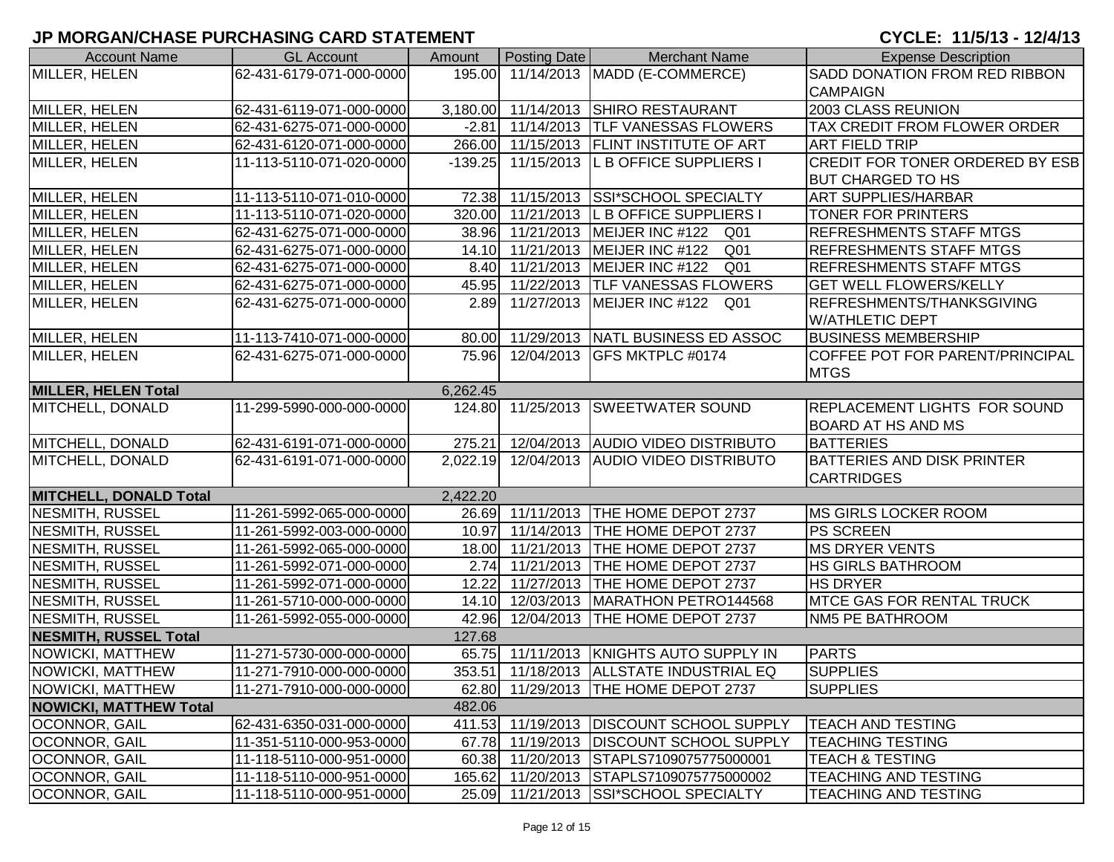| <b>Account Name</b>           | <b>GL Account</b>        | Amount    | Posting Date        | <b>Merchant Name</b>                       | <b>Expense Description</b>          |
|-------------------------------|--------------------------|-----------|---------------------|--------------------------------------------|-------------------------------------|
| MILLER, HELEN                 | 62-431-6179-071-000-0000 |           |                     | 195.00 11/14/2013   MADD (E-COMMERCE)      | SADD DONATION FROM RED RIBBON       |
|                               |                          |           |                     |                                            | <b>CAMPAIGN</b>                     |
| MILLER, HELEN                 | 62-431-6119-071-000-0000 |           |                     | 3,180.00 11/14/2013 SHIRO RESTAURANT       | 2003 CLASS REUNION                  |
| <b>MILLER, HELEN</b>          | 62-431-6275-071-000-0000 |           |                     | -2.81 11/14/2013 TLF VANESSAS FLOWERS      | TAX CREDIT FROM FLOWER ORDER        |
| MILLER, HELEN                 | 62-431-6120-071-000-0000 |           |                     | 266.00 11/15/2013 FLINT INSTITUTE OF ART   | <b>ART FIELD TRIP</b>               |
| MILLER, HELEN                 | 11-113-5110-071-020-0000 | $-139.25$ |                     | 11/15/2013 L B OFFICE SUPPLIERS I          | CREDIT FOR TONER ORDERED BY ESB     |
|                               |                          |           |                     |                                            | <b>BUT CHARGED TO HS</b>            |
| MILLER, HELEN                 | 11-113-5110-071-010-0000 | 72.38     |                     | 11/15/2013 SSI*SCHOOL SPECIALTY            | <b>ART SUPPLIES/HARBAR</b>          |
| MILLER, HELEN                 | 11-113-5110-071-020-0000 | 320.00    |                     | 11/21/2013 L B OFFICE SUPPLIERS            | <b>TONER FOR PRINTERS</b>           |
| MILLER, HELEN                 | 62-431-6275-071-000-0000 | 38.96     |                     | 11/21/2013   MEIJER INC #122 Q01           | <b>REFRESHMENTS STAFF MTGS</b>      |
| MILLER, HELEN                 | 62-431-6275-071-000-0000 | 14.10     | 11/21/2013          | MEIJER INC #122<br>Q <sub>01</sub>         | <b>REFRESHMENTS STAFF MTGS</b>      |
| MILLER, HELEN                 | 62-431-6275-071-000-0000 | 8.40      | 11/21/2013          | MEIJER INC #122<br>Q <sub>01</sub>         | <b>REFRESHMENTS STAFF MTGS</b>      |
| MILLER, HELEN                 | 62-431-6275-071-000-0000 | 45.95     | 11/22/2013          | <b>TLF VANESSAS FLOWERS</b>                | <b>GET WELL FLOWERS/KELLY</b>       |
| MILLER, HELEN                 | 62-431-6275-071-000-0000 | 2.89      | 11/27/2013          | MEIJER INC #122 Q01                        | REFRESHMENTS/THANKSGIVING           |
|                               |                          |           |                     |                                            | <b>W/ATHLETIC DEPT</b>              |
| MILLER, HELEN                 | 11-113-7410-071-000-0000 |           |                     | 80.00 11/29/2013 NATL BUSINESS ED ASSOC    | <b>BUSINESS MEMBERSHIP</b>          |
| MILLER, HELEN                 | 62-431-6275-071-000-0000 |           | 75.96 12/04/2013    | <b>GFS MKTPLC #0174</b>                    | COFFEE POT FOR PARENT/PRINCIPAL     |
|                               |                          |           |                     |                                            | <b>MTGS</b>                         |
| <b>MILLER, HELEN Total</b>    |                          | 6,262.45  |                     |                                            |                                     |
| MITCHELL, DONALD              | 11-299-5990-000-000-0000 |           | 124.80 11/25/2013   | <b>SWEETWATER SOUND</b>                    | <b>REPLACEMENT LIGHTS FOR SOUND</b> |
|                               |                          |           |                     |                                            | <b>BOARD AT HS AND MS</b>           |
| MITCHELL, DONALD              | 62-431-6191-071-000-0000 | 275.21    |                     | 12/04/2013 AUDIO VIDEO DISTRIBUTO          | <b>BATTERIES</b>                    |
| MITCHELL, DONALD              | 62-431-6191-071-000-0000 |           | 2,022.19 12/04/2013 | <b>AUDIO VIDEO DISTRIBUTO</b>              | <b>BATTERIES AND DISK PRINTER</b>   |
|                               |                          |           |                     |                                            | <b>CARTRIDGES</b>                   |
| <b>MITCHELL, DONALD Total</b> |                          | 2,422.20  |                     |                                            |                                     |
| <b>NESMITH, RUSSEL</b>        | 11-261-5992-065-000-0000 |           |                     | 26.69 11/11/2013 THE HOME DEPOT 2737       | <b>IMS GIRLS LOCKER ROOM</b>        |
| <b>NESMITH, RUSSEL</b>        | 11-261-5992-003-000-0000 | 10.97     |                     | 11/14/2013   THE HOME DEPOT 2737           | <b>PS SCREEN</b>                    |
| <b>NESMITH, RUSSEL</b>        | 11-261-5992-065-000-0000 | 18.00     |                     | 11/21/2013 THE HOME DEPOT 2737             | <b>MS DRYER VENTS</b>               |
| NESMITH, RUSSEL               | 11-261-5992-071-000-0000 | 2.74      |                     | 11/21/2013 THE HOME DEPOT 2737             | <b>HS GIRLS BATHROOM</b>            |
| NESMITH, RUSSEL               | 11-261-5992-071-000-0000 | 12.22     | 11/27/2013          | THE HOME DEPOT 2737                        | <b>HS DRYER</b>                     |
| NESMITH, RUSSEL               | 11-261-5710-000-000-0000 | 14.10     |                     | 12/03/2013   MARATHON PETRO144568          | <b>MTCE GAS FOR RENTAL TRUCK</b>    |
| NESMITH, RUSSEL               | 11-261-5992-055-000-0000 | 42.96     |                     | 12/04/2013 THE HOME DEPOT 2737             | NM5 PE BATHROOM                     |
| <b>NESMITH, RUSSEL Total</b>  |                          | 127.68    |                     |                                            |                                     |
| NOWICKI, MATTHEW              | 11-271-5730-000-000-0000 |           |                     | 65.75 11/11/2013 KNIGHTS AUTO SUPPLY IN    | <b>PARTS</b>                        |
| NOWICKI, MATTHEW              | 11-271-7910-000-000-0000 |           |                     | 353.51 11/18/2013 ALLSTATE INDUSTRIAL EQ   | <b>SUPPLIES</b>                     |
| NOWICKI, MATTHEW              | 11-271-7910-000-000-0000 |           |                     | 62.80 11/29/2013 THE HOME DEPOT 2737       | <b>SUPPLIES</b>                     |
| <b>NOWICKI, MATTHEW Total</b> |                          | 482.06    |                     |                                            |                                     |
| <b>OCONNOR, GAIL</b>          | 62-431-6350-031-000-0000 |           |                     | 411.53 11/19/2013   DISCOUNT SCHOOL SUPPLY | <b>TEACH AND TESTING</b>            |
| OCONNOR, GAIL                 | 11-351-5110-000-953-0000 |           |                     | 67.78 11/19/2013   DISCOUNT SCHOOL SUPPLY  | <b>TEACHING TESTING</b>             |
| <b>OCONNOR, GAIL</b>          | 11-118-5110-000-951-0000 | 60.38     |                     | 11/20/2013 STAPLS7109075775000001          | <b>TEACH &amp; TESTING</b>          |
| OCONNOR, GAIL                 | 11-118-5110-000-951-0000 |           |                     | 165.62 11/20/2013 STAPLS7109075775000002   | TEACHING AND TESTING                |
| OCONNOR, GAIL                 | 11-118-5110-000-951-0000 |           |                     | 25.09 11/21/2013 SSI*SCHOOL SPECIALTY      | <b>TEACHING AND TESTING</b>         |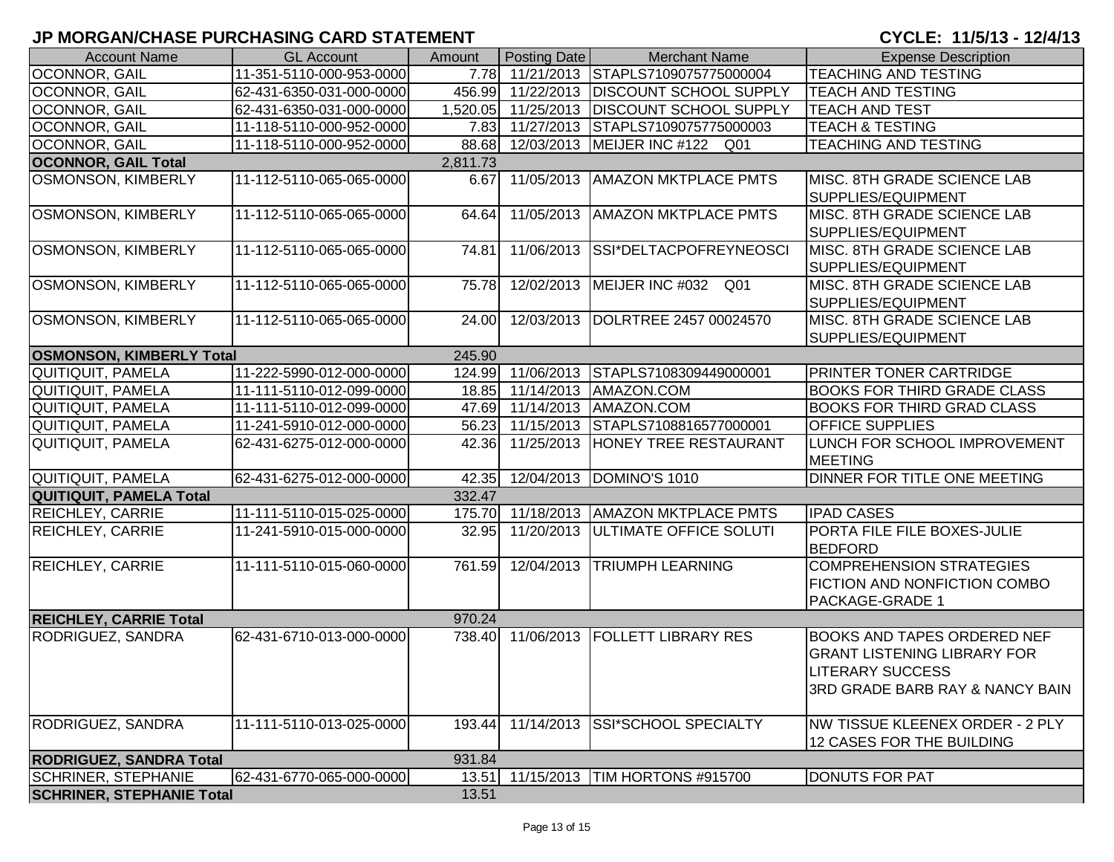| <b>Account Name</b>                      | <b>GL Account</b>        | Amount   | Posting Date        | <b>Merchant Name</b>                     | <b>Expense Description</b>                                                                                                                        |  |
|------------------------------------------|--------------------------|----------|---------------------|------------------------------------------|---------------------------------------------------------------------------------------------------------------------------------------------------|--|
| <b>OCONNOR, GAIL</b>                     | 11-351-5110-000-953-0000 |          |                     | 7.78 11/21/2013 STAPLS7109075775000004   | <b>TEACHING AND TESTING</b>                                                                                                                       |  |
| <b>OCONNOR, GAIL</b>                     | 62-431-6350-031-000-0000 |          | 456.99 11/22/2013   | <b>DISCOUNT SCHOOL SUPPLY</b>            | <b>TEACH AND TESTING</b>                                                                                                                          |  |
| OCONNOR, GAIL                            | 62-431-6350-031-000-0000 |          | 1,520.05 11/25/2013 | <b>DISCOUNT SCHOOL SUPPLY</b>            | <b>TEACH AND TEST</b>                                                                                                                             |  |
| <b>OCONNOR, GAIL</b>                     | 11-118-5110-000-952-0000 |          | 7.83 11/27/2013     | STAPLS7109075775000003                   | <b>TEACH &amp; TESTING</b>                                                                                                                        |  |
| <b>OCONNOR, GAIL</b>                     | 11-118-5110-000-952-0000 |          |                     | 88.68 12/03/2013 MEIJER INC #122 Q01     | <b>TEACHING AND TESTING</b>                                                                                                                       |  |
| <b>OCONNOR, GAIL Total</b>               |                          | 2,811.73 |                     |                                          |                                                                                                                                                   |  |
| OSMONSON, KIMBERLY                       | 11-112-5110-065-065-0000 |          | 6.67 11/05/2013     | <b>AMAZON MKTPLACE PMTS</b>              | MISC. 8TH GRADE SCIENCE LAB<br>SUPPLIES/EQUIPMENT                                                                                                 |  |
| <b>OSMONSON, KIMBERLY</b>                | 11-112-5110-065-065-0000 | 64.64    | 11/05/2013          | <b>AMAZON MKTPLACE PMTS</b>              | MISC. 8TH GRADE SCIENCE LAB<br>SUPPLIES/EQUIPMENT                                                                                                 |  |
| OSMONSON, KIMBERLY                       | 11-112-5110-065-065-0000 | 74.81    | 11/06/2013          | SSI*DELTACPOFREYNEOSCI                   | MISC. 8TH GRADE SCIENCE LAB<br>SUPPLIES/EQUIPMENT                                                                                                 |  |
| OSMONSON, KIMBERLY                       | 11-112-5110-065-065-0000 | 75.78    | 12/02/2013          | MEIJER INC #032 Q01                      | MISC. 8TH GRADE SCIENCE LAB<br>SUPPLIES/EQUIPMENT                                                                                                 |  |
| <b>OSMONSON, KIMBERLY</b>                | 11-112-5110-065-065-0000 |          |                     | 24.00 12/03/2013 DOLRTREE 2457 00024570  | MISC. 8TH GRADE SCIENCE LAB<br>SUPPLIES/EQUIPMENT                                                                                                 |  |
| <b>OSMONSON, KIMBERLY Total</b>          |                          | 245.90   |                     |                                          |                                                                                                                                                   |  |
| QUITIQUIT, PAMELA                        | 11-222-5990-012-000-0000 |          | 124.99 11/06/2013   | STAPLS7108309449000001                   | PRINTER TONER CARTRIDGE                                                                                                                           |  |
| QUITIQUIT, PAMELA                        | 11-111-5110-012-099-0000 |          |                     | 18.85 11/14/2013 AMAZON.COM              | <b>BOOKS FOR THIRD GRADE CLASS</b>                                                                                                                |  |
| QUITIQUIT, PAMELA                        | 11-111-5110-012-099-0000 |          |                     | 47.69 11/14/2013 AMAZON.COM              | <b>BOOKS FOR THIRD GRAD CLASS</b>                                                                                                                 |  |
| QUITIQUIT, PAMELA                        | 11-241-5910-012-000-0000 |          | 56.23 11/15/2013    | STAPLS7108816577000001                   | <b>OFFICE SUPPLIES</b>                                                                                                                            |  |
| QUITIQUIT, PAMELA                        | 62-431-6275-012-000-0000 | 42.36    | 11/25/2013          | HONEY TREE RESTAURANT                    | LUNCH FOR SCHOOL IMPROVEMENT<br><b>MEETING</b>                                                                                                    |  |
| QUITIQUIT, PAMELA                        | 62-431-6275-012-000-0000 |          |                     | 42.35 12/04/2013 DOMINO'S 1010           | DINNER FOR TITLE ONE MEETING                                                                                                                      |  |
| <b>QUITIQUIT, PAMELA Total</b>           |                          | 332.47   |                     |                                          |                                                                                                                                                   |  |
| <b>REICHLEY, CARRIE</b>                  | 11-111-5110-015-025-0000 |          |                     | 175.70 11/18/2013   AMAZON MKTPLACE PMTS | <b>IPAD CASES</b>                                                                                                                                 |  |
| <b>REICHLEY, CARRIE</b>                  | 11-241-5910-015-000-0000 | 32.95    |                     | 11/20/2013   ULTIMATE OFFICE SOLUTI      | PORTA FILE FILE BOXES-JULIE<br><b>BEDFORD</b>                                                                                                     |  |
| <b>REICHLEY, CARRIE</b>                  | 11-111-5110-015-060-0000 | 761.59   |                     | 12/04/2013 TRIUMPH LEARNING              | COMPREHENSION STRATEGIES<br><b>FICTION AND NONFICTION COMBO</b><br>PACKAGE-GRADE 1                                                                |  |
| <b>REICHLEY, CARRIE Total</b>            |                          | 970.24   |                     |                                          |                                                                                                                                                   |  |
| RODRIGUEZ, SANDRA                        | 62-431-6710-013-000-0000 |          |                     | 738.40 11/06/2013 FOLLETT LIBRARY RES    | <b>BOOKS AND TAPES ORDERED NEF</b><br><b>GRANT LISTENING LIBRARY FOR</b><br><b>LITERARY SUCCESS</b><br><b>3RD GRADE BARB RAY &amp; NANCY BAIN</b> |  |
| RODRIGUEZ, SANDRA                        | 11-111-5110-013-025-0000 | 193.44   | 11/14/2013          | <b>SSI*SCHOOL SPECIALTY</b>              | NW TISSUE KLEENEX ORDER - 2 PLY<br>12 CASES FOR THE BUILDING                                                                                      |  |
| 931.84<br><b>RODRIGUEZ, SANDRA Total</b> |                          |          |                     |                                          |                                                                                                                                                   |  |
| <b>SCHRINER, STEPHANIE</b>               | 62-431-6770-065-000-0000 | 13.51    | 11/15/2013          | TIM HORTONS #915700                      | <b>DONUTS FOR PAT</b>                                                                                                                             |  |
| <b>SCHRINER, STEPHANIE Total</b>         |                          | 13.51    |                     |                                          |                                                                                                                                                   |  |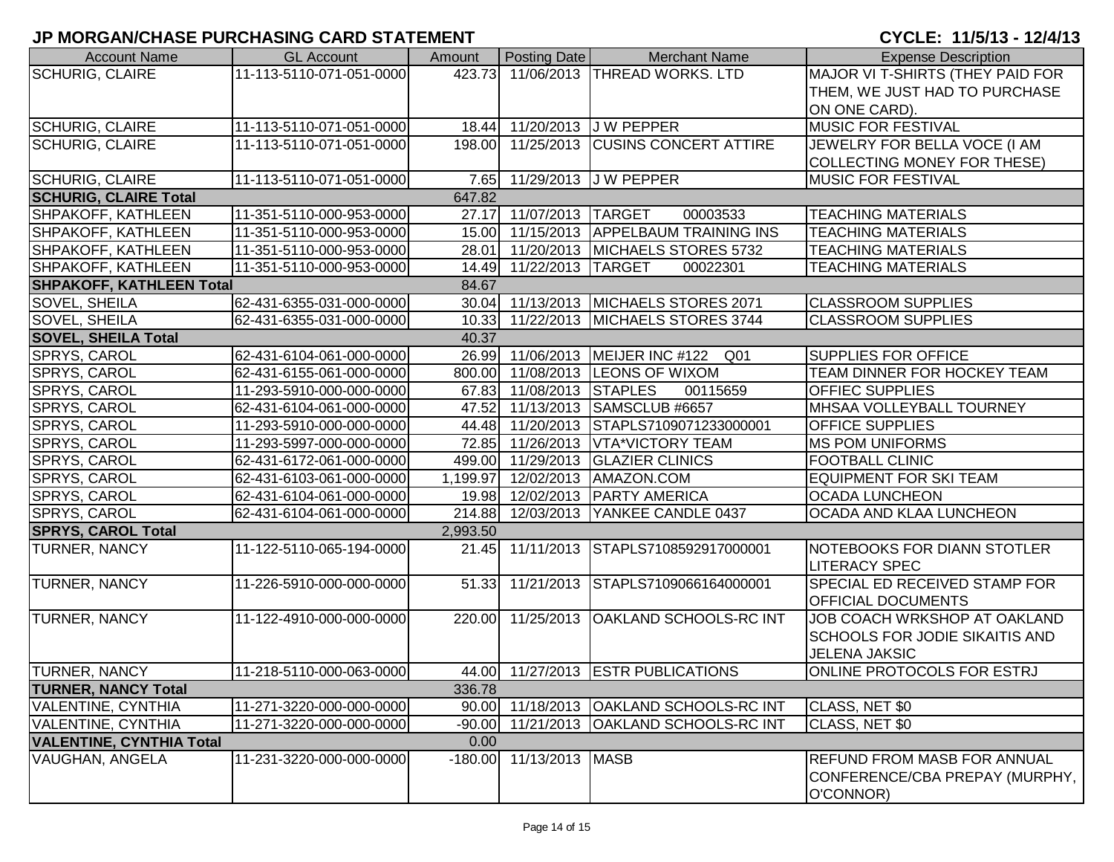# **JP MORGAN/CHASE PURCHASING CARD STATEMENT**

## CYCLE: 11/5/13 - 12/4/13

| <b>Account Name</b>                     | <b>GL Account</b>                        | Amount   | Posting Date              | <b>Merchant Name</b>                                | <b>Expense Description</b>                                        |  |  |
|-----------------------------------------|------------------------------------------|----------|---------------------------|-----------------------------------------------------|-------------------------------------------------------------------|--|--|
| <b>SCHURIG, CLAIRE</b>                  | 11-113-5110-071-051-0000                 |          |                           | 423.73 11/06/2013 THREAD WORKS. LTD                 | MAJOR VI T-SHIRTS (THEY PAID FOR                                  |  |  |
|                                         |                                          |          |                           |                                                     | THEM, WE JUST HAD TO PURCHASE                                     |  |  |
|                                         |                                          |          |                           |                                                     | ON ONE CARD).                                                     |  |  |
| <b>SCHURIG, CLAIRE</b>                  | 11-113-5110-071-051-0000                 |          |                           | 18.44 11/20/2013 J W PEPPER                         | <b>MUSIC FOR FESTIVAL</b>                                         |  |  |
| <b>SCHURIG, CLAIRE</b>                  | 11-113-5110-071-051-0000                 | 198.00   |                           | 11/25/2013 CUSINS CONCERT ATTIRE                    | JEWELRY FOR BELLA VOCE (I AM                                      |  |  |
|                                         |                                          |          |                           |                                                     | COLLECTING MONEY FOR THESE)                                       |  |  |
| <b>SCHURIG, CLAIRE</b>                  | 11-113-5110-071-051-0000                 |          |                           | 7.65 11/29/2013 J W PEPPER                          | <b>MUSIC FOR FESTIVAL</b>                                         |  |  |
| <b>SCHURIG, CLAIRE Total</b>            |                                          | 647.82   |                           |                                                     |                                                                   |  |  |
| SHPAKOFF, KATHLEEN                      | 11-351-5110-000-953-0000                 |          | 27.17 11/07/2013 TARGET   | 00003533                                            | <b>TEACHING MATERIALS</b>                                         |  |  |
| SHPAKOFF, KATHLEEN                      | 11-351-5110-000-953-0000                 |          |                           | 15.00 11/15/2013 APPELBAUM TRAINING INS             | <b>TEACHING MATERIALS</b>                                         |  |  |
| SHPAKOFF, KATHLEEN                      | 11-351-5110-000-953-0000                 | 28.01    |                           | 11/20/2013 MICHAELS STORES 5732                     | <b>TEACHING MATERIALS</b>                                         |  |  |
| <b>SHPAKOFF, KATHLEEN</b>               | 11-351-5110-000-953-0000                 | 14.49    | 11/22/2013 TARGET         | 00022301                                            | <b>TEACHING MATERIALS</b>                                         |  |  |
|                                         | <b>SHPAKOFF, KATHLEEN Total</b><br>84.67 |          |                           |                                                     |                                                                   |  |  |
| SOVEL, SHEILA                           | 62-431-6355-031-000-0000                 |          |                           | 30.04 11/13/2013 MICHAELS STORES 2071               | <b>CLASSROOM SUPPLIES</b>                                         |  |  |
| SOVEL, SHEILA                           | 62-431-6355-031-000-0000                 |          |                           | 10.33 11/22/2013 MICHAELS STORES 3744               | <b>CLASSROOM SUPPLIES</b>                                         |  |  |
| <b>SOVEL, SHEILA Total</b>              | 40.37                                    |          |                           |                                                     |                                                                   |  |  |
| SPRYS, CAROL                            | 62-431-6104-061-000-0000                 |          |                           | 26.99 11/06/2013 MEIJER INC #122<br>Q <sub>01</sub> | <b>SUPPLIES FOR OFFICE</b>                                        |  |  |
| SPRYS, CAROL                            | 62-431-6155-061-000-0000                 |          |                           | 800.00 11/08/2013 LEONS OF WIXOM                    | TEAM DINNER FOR HOCKEY TEAM                                       |  |  |
| SPRYS, CAROL                            | 11-293-5910-000-000-0000                 |          | 67.83 11/08/2013 STAPLES  | 00115659                                            | <b>OFFIEC SUPPLIES</b>                                            |  |  |
| SPRYS, CAROL                            | 62-431-6104-061-000-0000                 |          |                           | 47.52 11/13/2013 SAMSCLUB #6657                     | MHSAA VOLLEYBALL TOURNEY                                          |  |  |
| SPRYS, CAROL                            | 11-293-5910-000-000-0000                 |          |                           | 44.48 11/20/2013 STAPLS7109071233000001             | <b>OFFICE SUPPLIES</b>                                            |  |  |
| SPRYS, CAROL                            | 11-293-5997-000-000-0000                 |          |                           | 72.85 11/26/2013 VTA*VICTORY TEAM                   | <b>MS POM UNIFORMS</b>                                            |  |  |
| SPRYS, CAROL                            | 62-431-6172-061-000-0000                 |          |                           | 499.00 11/29/2013 GLAZIER CLINICS                   | <b>FOOTBALL CLINIC</b>                                            |  |  |
| SPRYS, CAROL                            | 62-431-6103-061-000-0000                 |          | 1,199.97 12/02/2013       | AMAZON.COM                                          | <b>EQUIPMENT FOR SKI TEAM</b>                                     |  |  |
| SPRYS, CAROL                            | 62-431-6104-061-000-0000                 |          | 19.98 12/02/2013          | <b>PARTY AMERICA</b>                                | <b>OCADA LUNCHEON</b>                                             |  |  |
| SPRYS, CAROL                            | 62-431-6104-061-000-0000                 |          |                           | 214.88 12/03/2013 YANKEE CANDLE 0437                | OCADA AND KLAA LUNCHEON                                           |  |  |
| <b>SPRYS, CAROL Total</b>               |                                          | 2,993.50 |                           |                                                     |                                                                   |  |  |
| <b>TURNER, NANCY</b>                    | 11-122-5110-065-194-0000                 |          |                           | 21.45 11/11/2013 STAPLS7108592917000001             | <b>NOTEBOOKS FOR DIANN STOTLER</b>                                |  |  |
|                                         |                                          |          |                           |                                                     | <b>LITERACY SPEC</b>                                              |  |  |
| <b>TURNER, NANCY</b>                    | 11-226-5910-000-000-0000                 | 51.33    |                           | 11/21/2013 STAPLS7109066164000001                   | <b>SPECIAL ED RECEIVED STAMP FOR</b><br><b>OFFICIAL DOCUMENTS</b> |  |  |
| <b>TURNER, NANCY</b>                    | 11-122-4910-000-000-0000                 | 220.00   |                           | 11/25/2013 OAKLAND SCHOOLS-RC INT                   | JOB COACH WRKSHOP AT OAKLAND                                      |  |  |
|                                         |                                          |          |                           |                                                     | SCHOOLS FOR JODIE SIKAITIS AND                                    |  |  |
|                                         |                                          |          |                           |                                                     | <b>JELENA JAKSIC</b>                                              |  |  |
| <b>TURNER, NANCY</b>                    | 11-218-5110-000-063-0000                 |          |                           | 44.00 11/27/2013 ESTR PUBLICATIONS                  | ONLINE PROTOCOLS FOR ESTRJ                                        |  |  |
| <b>TURNER, NANCY Total</b>              |                                          | 336.78   |                           |                                                     |                                                                   |  |  |
| <b>VALENTINE, CYNTHIA</b>               | 11-271-3220-000-000-0000                 | 90.00    |                           | 11/18/2013   OAKLAND SCHOOLS-RC INT                 | CLASS, NET \$0                                                    |  |  |
| VALENTINE, CYNTHIA                      | 11-271-3220-000-000-0000                 | $-90.00$ |                           | 11/21/2013   OAKLAND SCHOOLS-RC INT                 | CLASS, NET \$0                                                    |  |  |
| 0.00<br><b>VALENTINE, CYNTHIA Total</b> |                                          |          |                           |                                                     |                                                                   |  |  |
| VAUGHAN, ANGELA                         | 11-231-3220-000-000-0000                 |          | $-180.00$ 11/13/2013 MASB |                                                     | <b>REFUND FROM MASB FOR ANNUAL</b>                                |  |  |
|                                         |                                          |          |                           |                                                     | CONFERENCE/CBA PREPAY (MURPHY,                                    |  |  |
|                                         |                                          |          |                           |                                                     | O'CONNOR)                                                         |  |  |